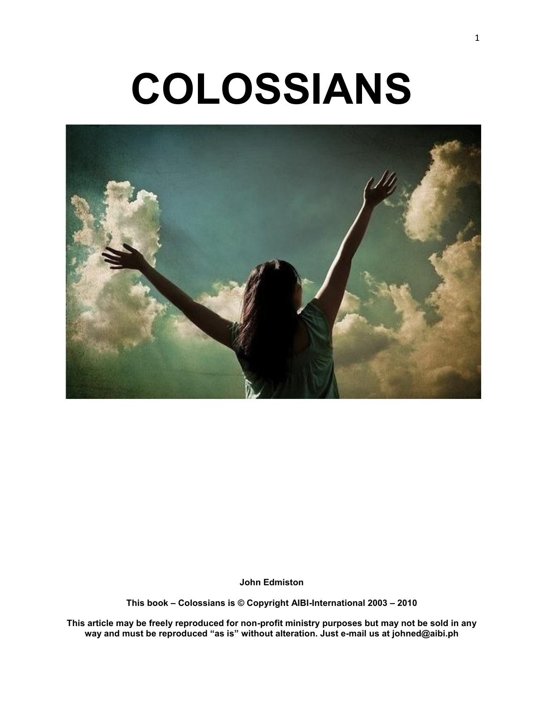# **COLOSSIANS**



**John Edmiston**

**This book – Colossians is © Copyright AIBI-International 2003 – 2010**

**This article may be freely reproduced for non-profit ministry purposes but may not be sold in any way and must be reproduced "as is" without alteration. Just e-mail us at johned@aibi.ph**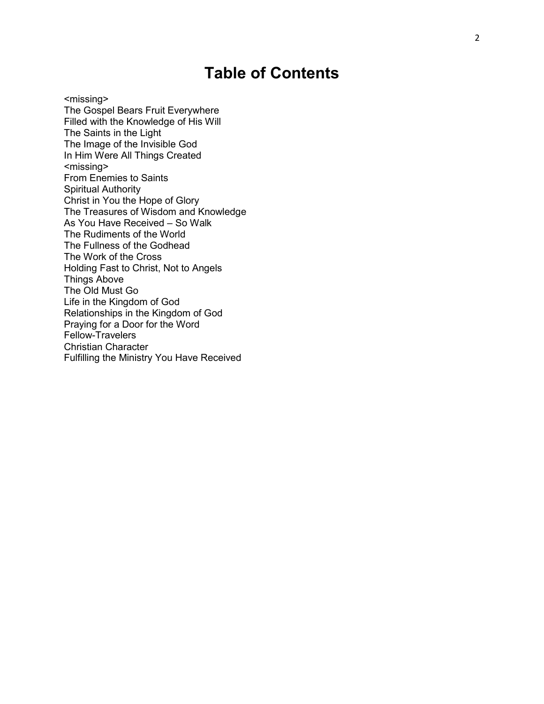## **Table of Contents**

<missing> The Gospel Bears Fruit Everywhere Filled with the Knowledge of His Will The Saints in the Light The Image of the Invisible God In Him Were All Things Created <missing> From Enemies to Saints Spiritual Authority Christ in You the Hope of Glory The Treasures of Wisdom and Knowledge As You Have Received – So Walk The Rudiments of the World The Fullness of the Godhead The Work of the Cross Holding Fast to Christ, Not to Angels Things Above The Old Must Go Life in the Kingdom of God Relationships in the Kingdom of God Praying for a Door for the Word Fellow -Travelers Christian Character Fulfilling the Ministry You Have Received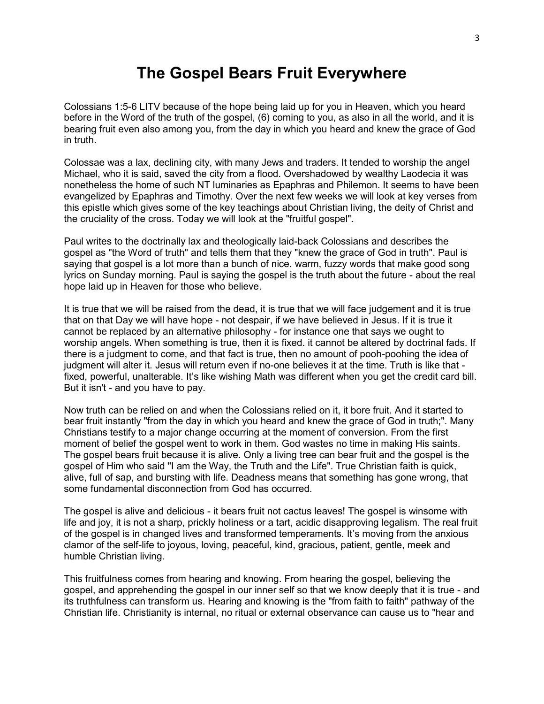## **The Gospel Bears Fruit Everywhere**

Colossians 1:5-6 LITV because of the hope being laid up for you in Heaven, which you heard before in the Word of the truth of the gospel, (6) coming to you, as also in all the world, and it is bearing fruit even also among you, from the day in which you heard and knew the grace of God in truth.

Colossae was a lax, declining city, with many Jews and traders. It tended to worship the angel Michael, who it is said, saved the city from a flood. Overshadowed by wealthy Laodecia it was nonetheless the home of such NT luminaries as Epaphras and Philemon. It seems to have been evangelized by Epaphras and Timothy. Over the next few weeks we will look at key verses from this epistle which gives some of the key teachings about Christian living, the deity of Christ and the cruciality of the cross. Today we will look at the "fruitful gospel".

Paul writes to the doctrinally lax and theologically laid-back Colossians and describes the gospel as "the Word of truth" and tells them that they "knew the grace of God in truth". Paul is saying that gospel is a lot more than a bunch of nice. warm, fuzzy words that make good song lyrics on Sunday morning. Paul is saying the gospel is the truth about the future - about the real hope laid up in Heaven for those who believe.

It is true that we will be raised from the dead, it is true that we will face judgement and it is true that on that Day we will have hope - not despair, if we have believed in Jesus. If it is true it cannot be replaced by an alternative philosophy - for instance one that says we ought to worship angels. When something is true, then it is fixed. it cannot be altered by doctrinal fads. If there is a judgment to come, and that fact is true, then no amount of pooh-poohing the idea of judgment will alter it. Jesus will return even if no-one believes it at the time. Truth is like that fixed, powerful, unalterable. It's like wishing Math was different when you get the credit card bill. But it isn't - and you have to pay.

Now truth can be relied on and when the Colossians relied on it, it bore fruit. And it started to bear fruit instantly "from the day in which you heard and knew the grace of God in truth;". Many Christians testify to a major change occurring at the moment of conversion. From the first moment of belief the gospel went to work in them. God wastes no time in making His saints. The gospel bears fruit because it is alive. Only a living tree can bear fruit and the gospel is the gospel of Him who said "I am the Way, the Truth and the Life". True Christian faith is quick, alive, full of sap, and bursting with life. Deadness means that something has gone wrong, that some fundamental disconnection from God has occurred.

The gospel is alive and delicious - it bears fruit not cactus leaves! The gospel is winsome with life and joy, it is not a sharp, prickly holiness or a tart, acidic disapproving legalism. The real fruit of the gospel is in changed lives and transformed temperaments. It's moving from the anxious clamor of the self-life to joyous, loving, peaceful, kind, gracious, patient, gentle, meek and humble Christian living.

This fruitfulness comes from hearing and knowing. From hearing the gospel, believing the gospel, and apprehending the gospel in our inner self so that we know deeply that it is true - and its truthfulness can transform us. Hearing and knowing is the "from faith to faith" pathway of the Christian life. Christianity is internal, no ritual or external observance can cause us to "hear and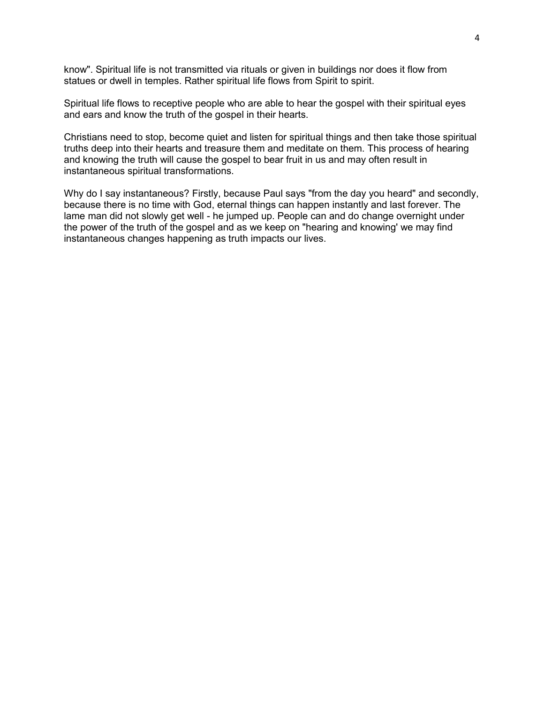know". Spiritual life is not transmitted via rituals or given in buildings nor does it flow from statues or dwell in temples. Rather spiritual life flows from Spirit to spirit.

Spiritual life flows to receptive people who are able to hear the gospel with their spiritual eyes and ears and know the truth of the gospel in their hearts.

Christians need to stop, become quiet and listen for spiritual things and then take those spiritual truths deep into their hearts and treasure them and meditate on them. This process of hearing and knowing the truth will cause the gospel to bear fruit in us and may often result in instantaneous spiritual transformations.

Why do I say instantaneous? Firstly, because Paul says "from the day you heard" and secondly, because there is no time with God, eternal things can happen instantly and last forever. The lame man did not slowly get well - he jumped up. People can and do change overnight under the power of the truth of the gospel and as we keep on "hearing and knowing' we may find instantaneous changes happening as truth impacts our lives.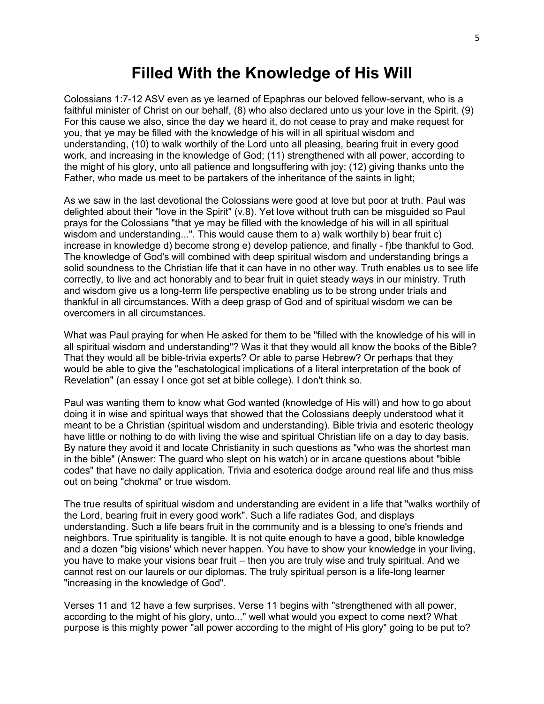#### **Filled With the Knowledge of His Will**

Colossians 1:7-12 ASV even as ye learned of Epaphras our beloved fellow-servant, who is a faithful minister of Christ on our behalf, (8) who also declared unto us your love in the Spirit. (9) For this cause we also, since the day we heard it, do not cease to pray and make request for you, that ye may be filled with the knowledge of his will in all spiritual wisdom and understanding, (10) to walk worthily of the Lord unto all pleasing, bearing fruit in every good work, and increasing in the knowledge of God; (11) strengthened with all power, according to the might of his glory, unto all patience and longsuffering with joy; (12) giving thanks unto the Father, who made us meet to be partakers of the inheritance of the saints in light;

As we saw in the last devotional the Colossians were good at love but poor at truth. Paul was delighted about their "love in the Spirit" (v.8). Yet love without truth can be misguided so Paul prays for the Colossians "that ye may be filled with the knowledge of his will in all spiritual wisdom and understanding...". This would cause them to a) walk worthily b) bear fruit c) increase in knowledge d) become strong e) develop patience, and finally - f)be thankful to God. The knowledge of God's will combined with deep spiritual wisdom and understanding brings a solid soundness to the Christian life that it can have in no other way. Truth enables us to see life correctly, to live and act honorably and to bear fruit in quiet steady ways in our ministry. Truth and wisdom give us a long-term life perspective enabling us to be strong under trials and thankful in all circumstances. With a deep grasp of God and of spiritual wisdom we can be overcomers in all circumstances.

What was Paul praying for when He asked for them to be "filled with the knowledge of his will in all spiritual wisdom and understanding"? Was it that they would all know the books of the Bible? That they would all be bible-trivia experts? Or able to parse Hebrew? Or perhaps that they would be able to give the "eschatological implications of a literal interpretation of the book of Revelation" (an essay I once got set at bible college). I don't think so.

Paul was wanting them to know what God wanted (knowledge of His will) and how to go about doing it in wise and spiritual ways that showed that the Colossians deeply understood what it meant to be a Christian (spiritual wisdom and understanding). Bible trivia and esoteric theology have little or nothing to do with living the wise and spiritual Christian life on a day to day basis. By nature they avoid it and locate Christianity in such questions as "who was the shortest man in the bible" (Answer: The guard who slept on his watch) or in arcane questions about "bible codes" that have no daily application. Trivia and esoterica dodge around real life and thus miss out on being "chokma" or true wisdom.

The true results of spiritual wisdom and understanding are evident in a life that "walks worthily of the Lord, bearing fruit in every good work". Such a life radiates God, and displays understanding. Such a life bears fruit in the community and is a blessing to one's friends and neighbors. True spirituality is tangible. It is not quite enough to have a good, bible knowledge and a dozen "big visions' which never happen. You have to show your knowledge in your living, you have to make your visions bear fruit – then you are truly wise and truly spiritual. And we cannot rest on our laurels or our diplomas. The truly spiritual person is a life-long learner "increasing in the knowledge of God".

Verses 11 and 12 have a few surprises. Verse 11 begins with "strengthened with all power, according to the might of his glory, unto..." well what would you expect to come next? What purpose is this mighty power "all power according to the might of His glory" going to be put to?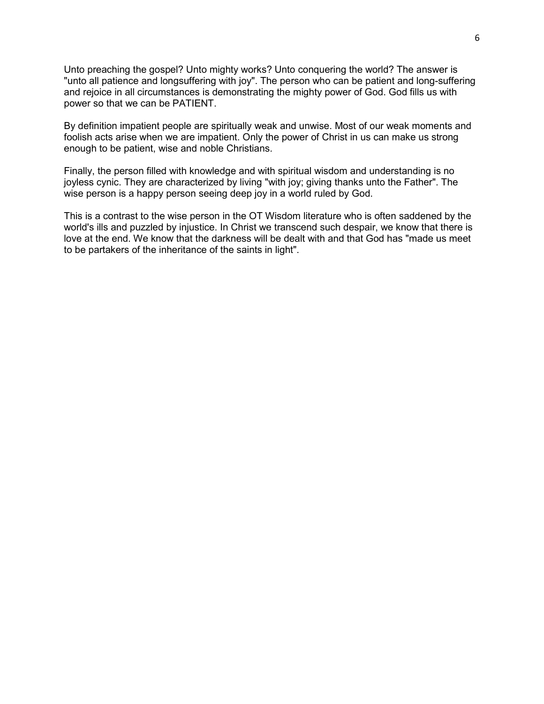Unto preaching the gospel? Unto mighty works? Unto conquering the world? The answer is "unto all patience and longsuffering with joy". The person who can be patient and long-suffering and rejoice in all circumstances is demonstrating the mighty power of God. God fills us with power so that we can be PATIENT.

By definition impatient people are spiritually weak and unwise. Most of our weak moments and foolish acts arise when we are impatient. Only the power of Christ in us can make us strong enough to be patient, wise and noble Christians.

Finally, the person filled with knowledge and with spiritual wisdom and understanding is no joyless cynic. They are characterized by living "with joy; giving thanks unto the Father". The wise person is a happy person seeing deep joy in a world ruled by God.

This is a contrast to the wise person in the OT Wisdom literature who is often saddened by the world's ills and puzzled by injustice. In Christ we transcend such despair, we know that there is love at the end. We know that the darkness will be dealt with and that God has "made us meet to be partakers of the inheritance of the saints in light".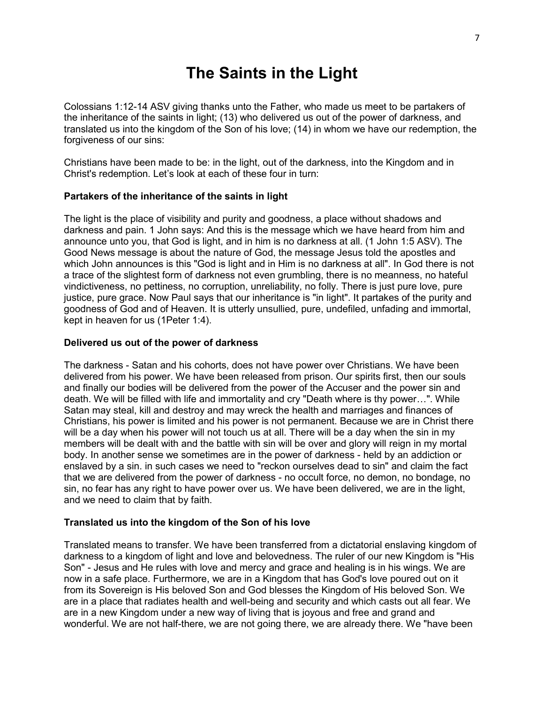# **The Saints in the Light**

Colossians 1:12-14 ASV giving thanks unto the Father, who made us meet to be partakers of the inheritance of the saints in light; (13) who delivered us out of the power of darkness, and translated us into the kingdom of the Son of his love; (14) in whom we have our redemption, the forgiveness of our sins:

Christians have been made to be: in the light, out of the darkness, into the Kingdom and in Christ's redemption. Let's look at each of these four in turn:

#### **Partakers of the inheritance of the saints in light**

The light is the place of visibility and purity and goodness, a place without shadows and darkness and pain. 1 John says: And this is the message which we have heard from him and announce unto you, that God is light, and in him is no darkness at all. (1 John 1:5 ASV). The Good News message is about the nature of God, the message Jesus told the apostles and which John announces is this "God is light and in Him is no darkness at all". In God there is not a trace of the slightest form of darkness not even grumbling, there is no meanness, no hateful vindictiveness, no pettiness, no corruption, unreliability, no folly. There is just pure love, pure justice, pure grace. Now Paul says that our inheritance is "in light". It partakes of the purity and goodness of God and of Heaven. It is utterly unsullied, pure, undefiled, unfading and immortal, kept in heaven for us (1Peter 1:4).

#### **Delivered us out of the power of darkness**

The darkness - Satan and his cohorts, does not have power over Christians. We have been delivered from his power. We have been released from prison. Our spirits first, then our souls and finally our bodies will be delivered from the power of the Accuser and the power sin and death. We will be filled with life and immortality and cry "Death where is thy power…". While Satan may steal, kill and destroy and may wreck the health and marriages and finances of Christians, his power is limited and his power is not permanent. Because we are in Christ there will be a day when his power will not touch us at all. There will be a day when the sin in my members will be dealt with and the battle with sin will be over and glory will reign in my mortal body. In another sense we sometimes are in the power of darkness - held by an addiction or enslaved by a sin. in such cases we need to "reckon ourselves dead to sin" and claim the fact that we are delivered from the power of darkness - no occult force, no demon, no bondage, no sin, no fear has any right to have power over us. We have been delivered, we are in the light, and we need to claim that by faith.

#### **Translated us into the kingdom of the Son of his love**

Translated means to transfer. We have been transferred from a dictatorial enslaving kingdom of darkness to a kingdom of light and love and belovedness. The ruler of our new Kingdom is "His Son" - Jesus and He rules with love and mercy and grace and healing is in his wings. We are now in a safe place. Furthermore, we are in a Kingdom that has God's love poured out on it from its Sovereign is His beloved Son and God blesses the Kingdom of His beloved Son. We are in a place that radiates health and well-being and security and which casts out all fear. We are in a new Kingdom under a new way of living that is joyous and free and grand and wonderful. We are not half-there, we are not going there, we are already there. We "have been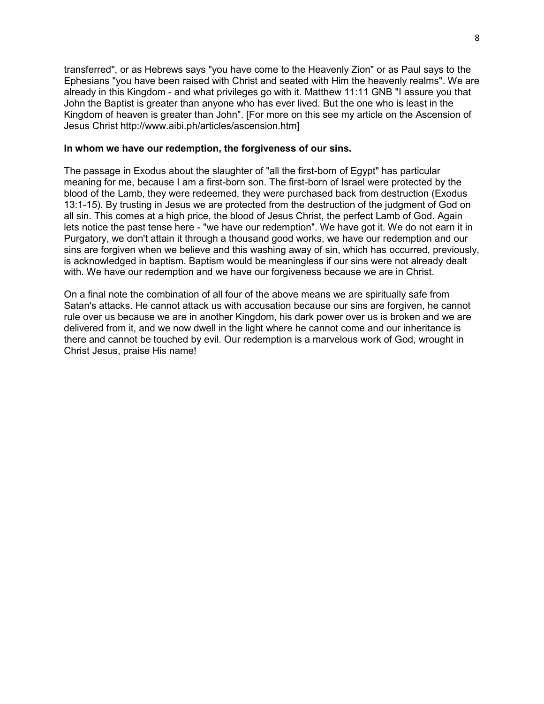transferred", or as Hebrews says "you have come to the Heavenly Zion" or as Paul says to the Ephesians "you have been raised with Christ and seated with Him the heavenly realms". We are already in this Kingdom - and what privileges go with it. Matthew 11:11 GNB "I assure you that John the Baptist is greater than anyone who has ever lived. But the one who is least in the Kingdom of heaven is greater than John". [For more on this see my article on the Ascension of Jesus Christ http://www.aibi.ph/articles/ascension.htm]

#### **In whom we have our redemption, the forgiveness of our sins.**

The passage in Exodus about the slaughter of "all the first-born of Egypt" has particular meaning for me, because I am a first-born son. The first-born of Israel were protected by the blood of the Lamb, they were redeemed, they were purchased back from destruction (Exodus 13:1-15). By trusting in Jesus we are protected from the destruction of the judgment of God on all sin. This comes at a high price, the blood of Jesus Christ, the perfect Lamb of God. Again lets notice the past tense here - "we have our redemption". We have got it. We do not earn it in Purgatory, we don't attain it through a thousand good works, we have our redemption and our sins are forgiven when we believe and this washing away of sin, which has occurred, previously, is acknowledged in baptism. Baptism would be meaningless if our sins were not already dealt with. We have our redemption and we have our forgiveness because we are in Christ.

On a final note the combination of all four of the above means we are spiritually safe from Satan's attacks. He cannot attack us with accusation because our sins are forgiven, he cannot rule over us because we are in another Kingdom, his dark power over us is broken and we are delivered from it, and we now dwell in the light where he cannot come and our inheritance is there and cannot be touched by evil. Our redemption is a marvelous work of God, wrought in Christ Jesus, praise His name!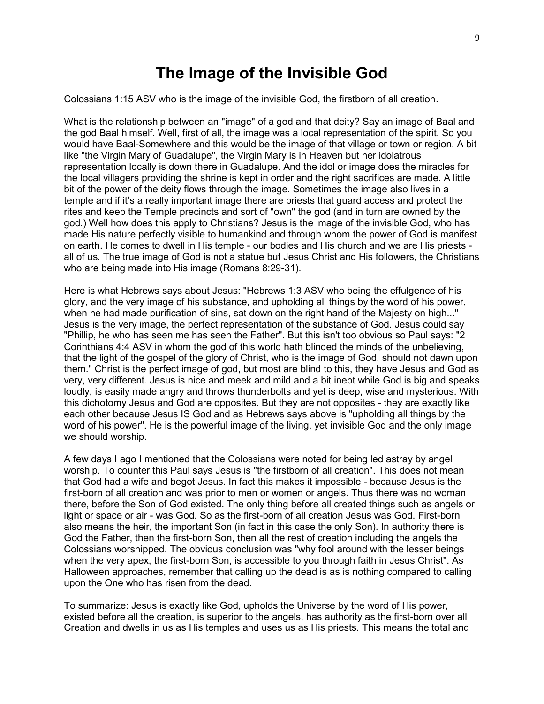#### **The Image of the Invisible God**

Colossians 1:15 ASV who is the image of the invisible God, the firstborn of all creation.

What is the relationship between an "image" of a god and that deity? Say an image of Baal and the god Baal himself. Well, first of all, the image was a local representation of the spirit. So you would have Baal-Somewhere and this would be the image of that village or town or region. A bit like "the Virgin Mary of Guadalupe", the Virgin Mary is in Heaven but her idolatrous representation locally is down there in Guadalupe. And the idol or image does the miracles for the local villagers providing the shrine is kept in order and the right sacrifices are made. A little bit of the power of the deity flows through the image. Sometimes the image also lives in a temple and if it's a really important image there are priests that guard access and protect the rites and keep the Temple precincts and sort of "own" the god (and in turn are owned by the god.) Well how does this apply to Christians? Jesus is the image of the invisible God, who has made His nature perfectly visible to humankind and through whom the power of God is manifest on earth. He comes to dwell in His temple - our bodies and His church and we are His priests all of us. The true image of God is not a statue but Jesus Christ and His followers, the Christians who are being made into His image (Romans 8:29-31).

Here is what Hebrews says about Jesus: "Hebrews 1:3 ASV who being the effulgence of his glory, and the very image of his substance, and upholding all things by the word of his power, when he had made purification of sins, sat down on the right hand of the Majesty on high..." Jesus is the very image, the perfect representation of the substance of God. Jesus could say "Phillip, he who has seen me has seen the Father". But this isn't too obvious so Paul says: "2 Corinthians 4:4 ASV in whom the god of this world hath blinded the minds of the unbelieving, that the light of the gospel of the glory of Christ, who is the image of God, should not dawn upon them." Christ is the perfect image of god, but most are blind to this, they have Jesus and God as very, very different. Jesus is nice and meek and mild and a bit inept while God is big and speaks loudly, is easily made angry and throws thunderbolts and yet is deep, wise and mysterious. With this dichotomy Jesus and God are opposites. But they are not opposites - they are exactly like each other because Jesus IS God and as Hebrews says above is "upholding all things by the word of his power". He is the powerful image of the living, yet invisible God and the only image we should worship.

A few days I ago I mentioned that the Colossians were noted for being led astray by angel worship. To counter this Paul says Jesus is "the firstborn of all creation". This does not mean that God had a wife and begot Jesus. In fact this makes it impossible - because Jesus is the first-born of all creation and was prior to men or women or angels. Thus there was no woman there, before the Son of God existed. The only thing before all created things such as angels or light or space or air - was God. So as the first-born of all creation Jesus was God. First-born also means the heir, the important Son (in fact in this case the only Son). In authority there is God the Father, then the first-born Son, then all the rest of creation including the angels the Colossians worshipped. The obvious conclusion was "why fool around with the lesser beings when the very apex, the first-born Son, is accessible to you through faith in Jesus Christ". As Halloween approaches, remember that calling up the dead is as is nothing compared to calling upon the One who has risen from the dead.

To summarize: Jesus is exactly like God, upholds the Universe by the word of His power, existed before all the creation, is superior to the angels, has authority as the first-born over all Creation and dwells in us as His temples and uses us as His priests. This means the total and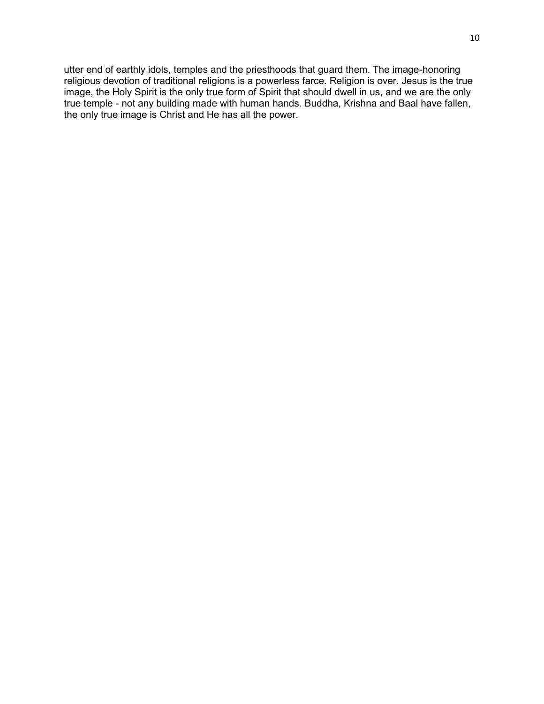utter end of earthly idols, temples and the priesthoods that guard them. The image-honoring religious devotion of traditional religions is a powerless farce. Religion is over. Jesus is the true image, the Holy Spirit is the only true form of Spirit that should dwell in us, and we are the only true temple - not any building made with human hands. Buddha, Krishna and Baal have fallen, the only true image is Christ and He has all the power.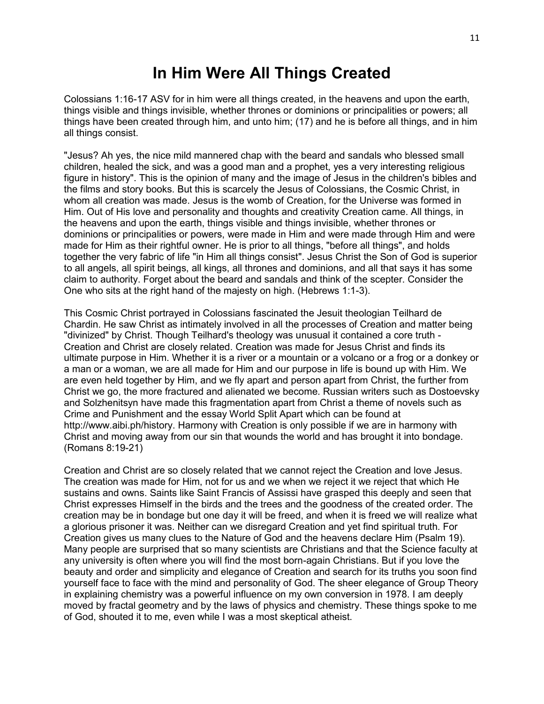# **In Him Were All Things Created**

Colossians 1:16-17 ASV for in him were all things created, in the heavens and upon the earth, things visible and things invisible, whether thrones or dominions or principalities or powers; all things have been created through him, and unto him; (17) and he is before all things, and in him all things consist.

"Jesus? Ah yes, the nice mild mannered chap with the beard and sandals who blessed small children, healed the sick, and was a good man and a prophet, yes a very interesting religious figure in history". This is the opinion of many and the image of Jesus in the children's bibles and the films and story books. But this is scarcely the Jesus of Colossians, the Cosmic Christ, in whom all creation was made. Jesus is the womb of Creation, for the Universe was formed in Him. Out of His love and personality and thoughts and creativity Creation came. All things, in the heavens and upon the earth, things visible and things invisible, whether thrones or dominions or principalities or powers, were made in Him and were made through Him and were made for Him as their rightful owner. He is prior to all things, "before all things", and holds together the very fabric of life "in Him all things consist". Jesus Christ the Son of God is superior to all angels, all spirit beings, all kings, all thrones and dominions, and all that says it has some claim to authority. Forget about the beard and sandals and think of the scepter. Consider the One who sits at the right hand of the majesty on high. (Hebrews 1:1-3).

This Cosmic Christ portrayed in Colossians fascinated the Jesuit theologian Teilhard de Chardin. He saw Christ as intimately involved in all the processes of Creation and matter being "divinized" by Christ. Though Teilhard's theology was unusual it contained a core truth - Creation and Christ are closely related. Creation was made for Jesus Christ and finds its ultimate purpose in Him. Whether it is a river or a mountain or a volcano or a frog or a donkey or a man or a woman, we are all made for Him and our purpose in life is bound up with Him. We are even held together by Him, and we fly apart and person apart from Christ, the further from Christ we go, the more fractured and alienated we become. Russian writers such as Dostoevsky and Solzhenitsyn have made this fragmentation apart from Christ a theme of novels such as Crime and Punishment and the essay World Split Apart which can be found at http://www.aibi.ph/history. Harmony with Creation is only possible if we are in harmony with Christ and moving away from our sin that wounds the world and has brought it into bondage. (Romans 8:19-21)

Creation and Christ are so closely related that we cannot reject the Creation and love Jesus. The creation was made for Him, not for us and we when we reject it we reject that which He sustains and owns. Saints like Saint Francis of Assissi have grasped this deeply and seen that Christ expresses Himself in the birds and the trees and the goodness of the created order. The creation may be in bondage but one day it will be freed, and when it is freed we will realize what a glorious prisoner it was. Neither can we disregard Creation and yet find spiritual truth. For Creation gives us many clues to the Nature of God and the heavens declare Him (Psalm 19). Many people are surprised that so many scientists are Christians and that the Science faculty at any university is often where you will find the most born-again Christians. But if you love the beauty and order and simplicity and elegance of Creation and search for its truths you soon find yourself face to face with the mind and personality of God. The sheer elegance of Group Theory in explaining chemistry was a powerful influence on my own conversion in 1978. I am deeply moved by fractal geometry and by the laws of physics and chemistry. These things spoke to me of God, shouted it to me, even while I was a most skeptical atheist.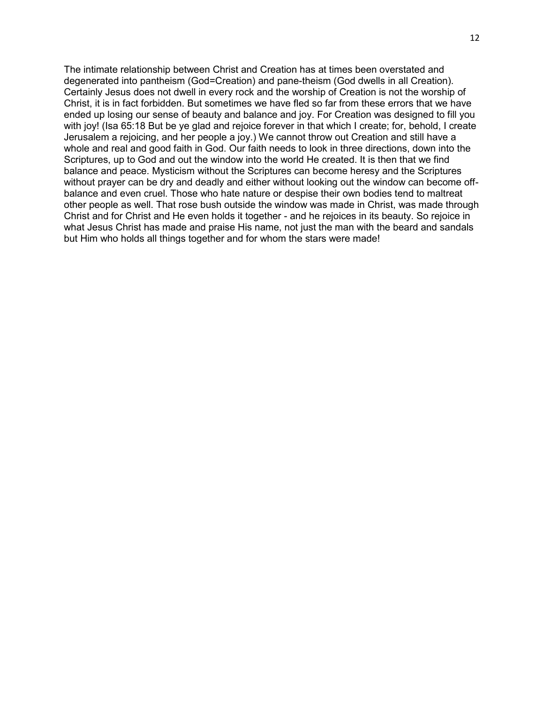The intimate relationship between Christ and Creation has at times been overstated and degenerated into pantheism (God=Creation) and pane-theism (God dwells in all Creation). Certainly Jesus does not dwell in every rock and the worship of Creation is not the worship of Christ, it is in fact forbidden. But sometimes we have fled so far from these errors that we have ended up losing our sense of beauty and balance and joy. For Creation was designed to fill you with joy! (Isa 65:18 But be ye glad and rejoice forever in that which I create; for, behold, I create Jerusalem a rejoicing, and her people a joy.) We cannot throw out Creation and still have a whole and real and good faith in God. Our faith needs to look in three directions, down into the Scriptures, up to God and out the window into the world He created. It is then that we find balance and peace. Mysticism without the Scriptures can become heresy and the Scriptures without prayer can be dry and deadly and either without looking out the window can become offbalance and even cruel. Those who hate nature or despise their own bodies tend to maltreat other people as well. That rose bush outside the window was made in Christ, was made through Christ and for Christ and He even holds it together - and he rejoices in its beauty. So rejoice in what Jesus Christ has made and praise His name, not just the man with the beard and sandals but Him who holds all things together and for whom the stars were made!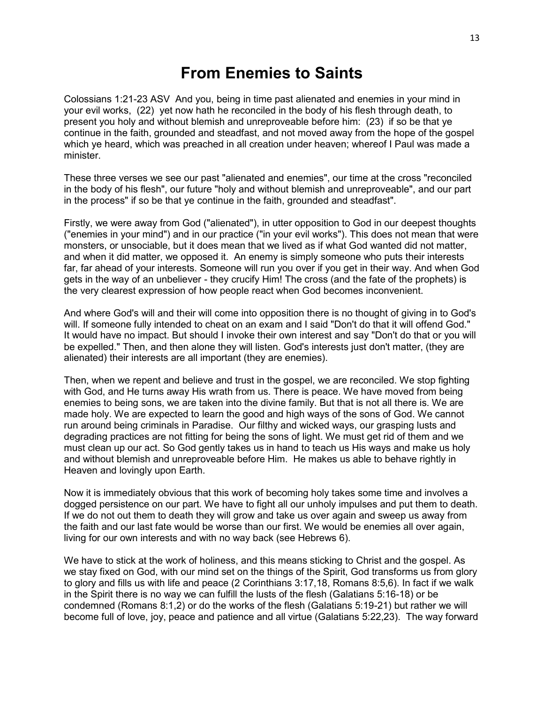## **From Enemies to Saints**

Colossians 1:21-23 ASV And you, being in time past alienated and enemies in your mind in your evil works, (22) yet now hath he reconciled in the body of his flesh through death, to present you holy and without blemish and unreproveable before him: (23) if so be that ye continue in the faith, grounded and steadfast, and not moved away from the hope of the gospel which ye heard, which was preached in all creation under heaven; whereof I Paul was made a minister.

These three verses we see our past "alienated and enemies", our time at the cross "reconciled in the body of his flesh", our future "holy and without blemish and unreproveable", and our part in the process" if so be that ye continue in the faith, grounded and steadfast".

Firstly, we were away from God ("alienated"), in utter opposition to God in our deepest thoughts ("enemies in your mind") and in our practice ("in your evil works"). This does not mean that were monsters, or unsociable, but it does mean that we lived as if what God wanted did not matter, and when it did matter, we opposed it. An enemy is simply someone who puts their interests far, far ahead of your interests. Someone will run you over if you get in their way. And when God gets in the way of an unbeliever - they crucify Him! The cross (and the fate of the prophets) is the very clearest expression of how people react when God becomes inconvenient.

And where God's will and their will come into opposition there is no thought of giving in to God's will. If someone fully intended to cheat on an exam and I said "Don't do that it will offend God." It would have no impact. But should I invoke their own interest and say "Don't do that or you will be expelled." Then, and then alone they will listen. God's interests just don't matter, (they are alienated) their interests are all important (they are enemies).

Then, when we repent and believe and trust in the gospel, we are reconciled. We stop fighting with God, and He turns away His wrath from us. There is peace. We have moved from being enemies to being sons, we are taken into the divine family. But that is not all there is. We are made holy. We are expected to learn the good and high ways of the sons of God. We cannot run around being criminals in Paradise. Our filthy and wicked ways, our grasping lusts and degrading practices are not fitting for being the sons of light. We must get rid of them and we must clean up our act. So God gently takes us in hand to teach us His ways and make us holy and without blemish and unreproveable before Him. He makes us able to behave rightly in Heaven and lovingly upon Earth.

Now it is immediately obvious that this work of becoming holy takes some time and involves a dogged persistence on our part. We have to fight all our unholy impulses and put them to death. If we do not out them to death they will grow and take us over again and sweep us away from the faith and our last fate would be worse than our first. We would be enemies all over again, living for our own interests and with no way back (see Hebrews 6).

We have to stick at the work of holiness, and this means sticking to Christ and the gospel. As we stay fixed on God, with our mind set on the things of the Spirit, God transforms us from glory to glory and fills us with life and peace (2 Corinthians 3:17,18, Romans 8:5,6). In fact if we walk in the Spirit there is no way we can fulfill the lusts of the flesh (Galatians 5:16-18) or be condemned (Romans 8:1,2) or do the works of the flesh (Galatians 5:19-21) but rather we will become full of love, joy, peace and patience and all virtue (Galatians 5:22,23). The way forward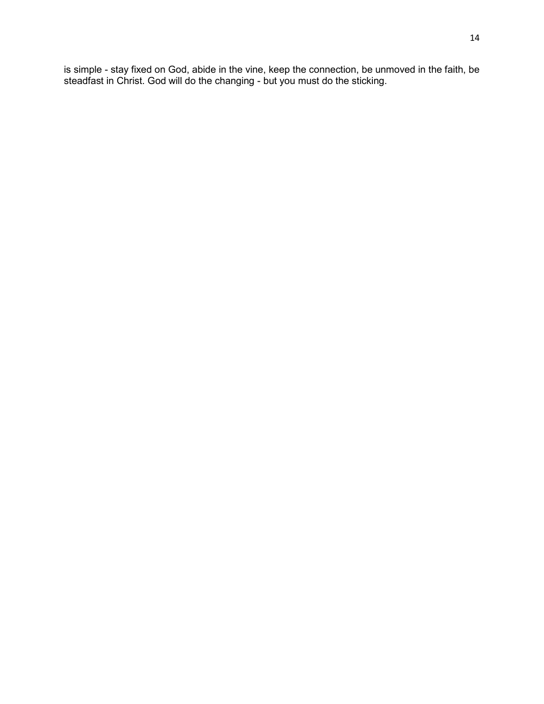is simple - stay fixed on God, abide in the vine, keep the connection, be unmoved in the faith, be steadfast in Christ. God will do the changing - but you must do the sticking.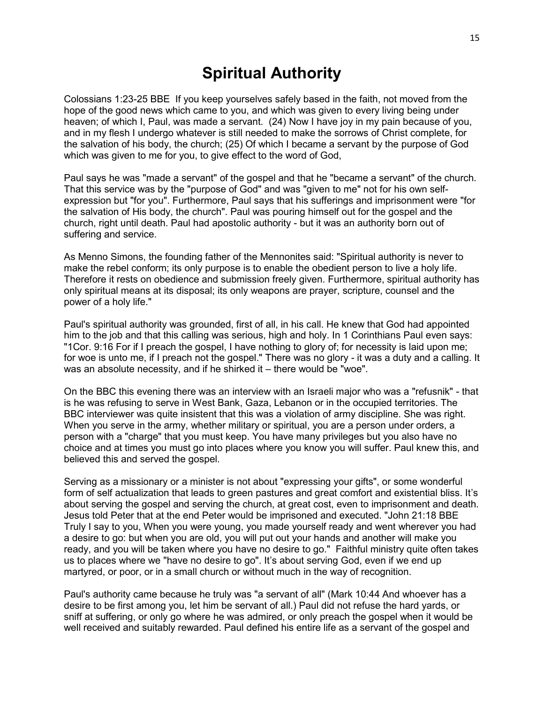# **Spiritual Authority**

Colossians 1:23-25 BBE If you keep yourselves safely based in the faith, not moved from the hope of the good news which came to you, and which was given to every living being under heaven; of which I, Paul, was made a servant. (24) Now I have joy in my pain because of you, and in my flesh I undergo whatever is still needed to make the sorrows of Christ complete, for the salvation of his body, the church; (25) Of which I became a servant by the purpose of God which was given to me for you, to give effect to the word of God,

Paul says he was "made a servant" of the gospel and that he "became a servant" of the church. That this service was by the "purpose of God" and was "given to me" not for his own selfexpression but "for you". Furthermore, Paul says that his sufferings and imprisonment were "for the salvation of His body, the church". Paul was pouring himself out for the gospel and the church, right until death. Paul had apostolic authority - but it was an authority born out of suffering and service.

As Menno Simons, the founding father of the Mennonites said: "Spiritual authority is never to make the rebel conform; its only purpose is to enable the obedient person to live a holy life. Therefore it rests on obedience and submission freely given. Furthermore, spiritual authority has only spiritual means at its disposal; its only weapons are prayer, scripture, counsel and the power of a holy life."

Paul's spiritual authority was grounded, first of all, in his call. He knew that God had appointed him to the job and that this calling was serious, high and holy. In 1 Corinthians Paul even says: "1Cor. 9:16 For if I preach the gospel, I have nothing to glory of; for necessity is laid upon me; for woe is unto me, if I preach not the gospel." There was no glory - it was a duty and a calling. It was an absolute necessity, and if he shirked it – there would be "woe".

On the BBC this evening there was an interview with an Israeli major who was a "refusnik" - that is he was refusing to serve in West Bank, Gaza, Lebanon or in the occupied territories. The BBC interviewer was quite insistent that this was a violation of army discipline. She was right. When you serve in the army, whether military or spiritual, you are a person under orders, a person with a "charge" that you must keep. You have many privileges but you also have no choice and at times you must go into places where you know you will suffer. Paul knew this, and believed this and served the gospel.

Serving as a missionary or a minister is not about "expressing your gifts", or some wonderful form of self actualization that leads to green pastures and great comfort and existential bliss. It's about serving the gospel and serving the church, at great cost, even to imprisonment and death. Jesus told Peter that at the end Peter would be imprisoned and executed. "John 21:18 BBE Truly I say to you, When you were young, you made yourself ready and went wherever you had a desire to go: but when you are old, you will put out your hands and another will make you ready, and you will be taken where you have no desire to go." Faithful ministry quite often takes us to places where we "have no desire to go". It's about serving God, even if we end up martyred, or poor, or in a small church or without much in the way of recognition.

Paul's authority came because he truly was "a servant of all" (Mark 10:44 And whoever has a desire to be first among you, let him be servant of all.) Paul did not refuse the hard yards, or sniff at suffering, or only go where he was admired, or only preach the gospel when it would be well received and suitably rewarded. Paul defined his entire life as a servant of the gospel and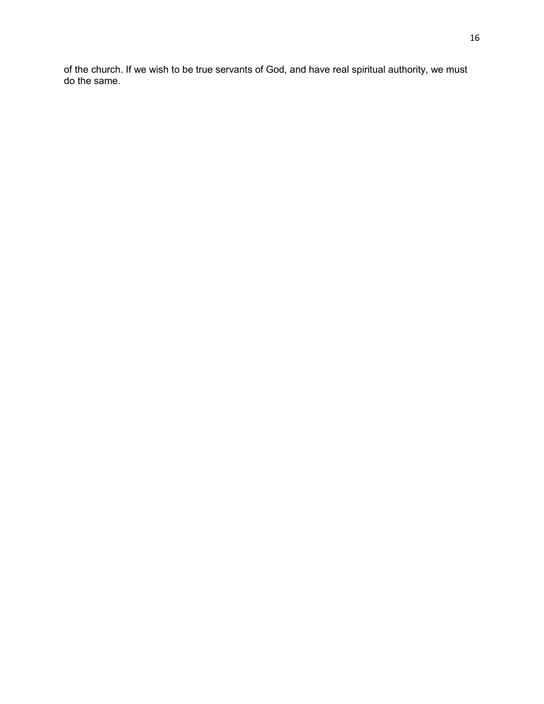of the church. If we wish to be true servants of God, and have real spiritual authority, we must do the same.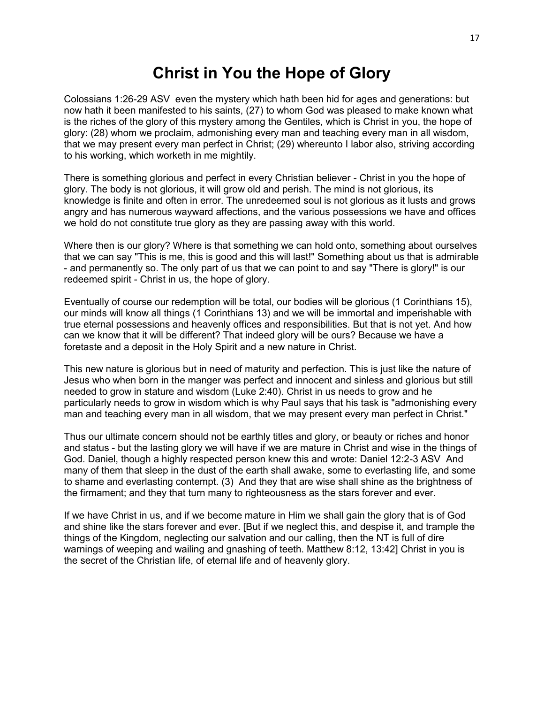# **Christ in You the Hope of Glory**

Colossians 1:26-29 ASV even the mystery which hath been hid for ages and generations: but now hath it been manifested to his saints, (27) to whom God was pleased to make known what is the riches of the glory of this mystery among the Gentiles, which is Christ in you, the hope of glory: (28) whom we proclaim, admonishing every man and teaching every man in all wisdom, that we may present every man perfect in Christ; (29) whereunto I labor also, striving according to his working, which worketh in me mightily.

There is something glorious and perfect in every Christian believer - Christ in you the hope of glory. The body is not glorious, it will grow old and perish. The mind is not glorious, its knowledge is finite and often in error. The unredeemed soul is not glorious as it lusts and grows angry and has numerous wayward affections, and the various possessions we have and offices we hold do not constitute true glory as they are passing away with this world.

Where then is our glory? Where is that something we can hold onto, something about ourselves that we can say "This is me, this is good and this will last!" Something about us that is admirable - and permanently so. The only part of us that we can point to and say "There is glory!" is our redeemed spirit - Christ in us, the hope of glory.

Eventually of course our redemption will be total, our bodies will be glorious (1 Corinthians 15), our minds will know all things (1 Corinthians 13) and we will be immortal and imperishable with true eternal possessions and heavenly offices and responsibilities. But that is not yet. And how can we know that it will be different? That indeed glory will be ours? Because we have a foretaste and a deposit in the Holy Spirit and a new nature in Christ.

This new nature is glorious but in need of maturity and perfection. This is just like the nature of Jesus who when born in the manger was perfect and innocent and sinless and glorious but still needed to grow in stature and wisdom (Luke 2:40). Christ in us needs to grow and he particularly needs to grow in wisdom which is why Paul says that his task is "admonishing every man and teaching every man in all wisdom, that we may present every man perfect in Christ."

Thus our ultimate concern should not be earthly titles and glory, or beauty or riches and honor and status - but the lasting glory we will have if we are mature in Christ and wise in the things of God. Daniel, though a highly respected person knew this and wrote: Daniel 12:2-3 ASV And many of them that sleep in the dust of the earth shall awake, some to everlasting life, and some to shame and everlasting contempt. (3) And they that are wise shall shine as the brightness of the firmament; and they that turn many to righteousness as the stars forever and ever.

If we have Christ in us, and if we become mature in Him we shall gain the glory that is of God and shine like the stars forever and ever. [But if we neglect this, and despise it, and trample the things of the Kingdom, neglecting our salvation and our calling, then the NT is full of dire warnings of weeping and wailing and gnashing of teeth. Matthew 8:12, 13:42] Christ in you is the secret of the Christian life, of eternal life and of heavenly glory.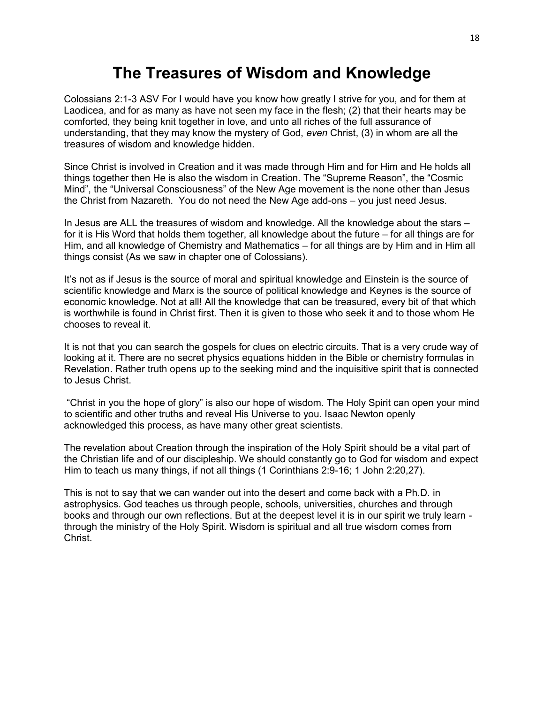# **The Treasures of Wisdom and Knowledge**

Colossians 2:1-3 ASV For I would have you know how greatly I strive for you, and for them at Laodicea, and for as many as have not seen my face in the flesh; (2) that their hearts may be comforted, they being knit together in love, and unto all riches of the full assurance of understanding, that they may know the mystery of God, *even* Christ, (3) in whom are all the treasures of wisdom and knowledge hidden.

Since Christ is involved in Creation and it was made through Him and for Him and He holds all things together then He is also the wisdom in Creation. The "Supreme Reason", the "Cosmic Mind", the "Universal Consciousness" of the New Age movement is the none other than Jesus the Christ from Nazareth. You do not need the New Age add-ons – you just need Jesus.

In Jesus are ALL the treasures of wisdom and knowledge. All the knowledge about the stars – for it is His Word that holds them together, all knowledge about the future – for all things are for Him, and all knowledge of Chemistry and Mathematics – for all things are by Him and in Him all things consist (As we saw in chapter one of Colossians).

It's not as if Jesus is the source of moral and spiritual knowledge and Einstein is the source of scientific knowledge and Marx is the source of political knowledge and Keynes is the source of economic knowledge. Not at all! All the knowledge that can be treasured, every bit of that which is worthwhile is found in Christ first. Then it is given to those who seek it and to those whom He chooses to reveal it.

It is not that you can search the gospels for clues on electric circuits. That is a very crude way of looking at it. There are no secret physics equations hidden in the Bible or chemistry formulas in Revelation. Rather truth opens up to the seeking mind and the inquisitive spirit that is connected to Jesus Christ.

"Christ in you the hope of glory" is also our hope of wisdom. The Holy Spirit can open your mind to scientific and other truths and reveal His Universe to you. Isaac Newton openly acknowledged this process, as have many other great scientists.

The revelation about Creation through the inspiration of the Holy Spirit should be a vital part of the Christian life and of our discipleship. We should constantly go to God for wisdom and expect Him to teach us many things, if not all things (1 Corinthians 2:9-16; 1 John 2:20,27).

This is not to say that we can wander out into the desert and come back with a Ph.D. in astrophysics. God teaches us through people, schools, universities, churches and through books and through our own reflections. But at the deepest level it is in our spirit we truly learn through the ministry of the Holy Spirit. Wisdom is spiritual and all true wisdom comes from Christ.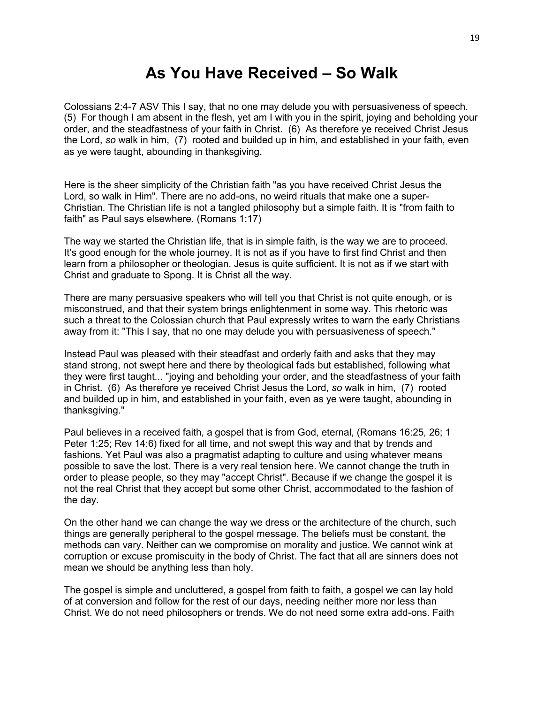## **As You Have Received – So Walk**

Colossians 2:4-7 ASV This I say, that no one may delude you with persuasiveness of speech. (5) For though I am absent in the flesh, yet am I with you in the spirit, joying and beholding your order, and the steadfastness of your faith in Christ. (6) As therefore ye received Christ Jesus the Lord, *so* walk in him, (7) rooted and builded up in him, and established in your faith, even as ye were taught, abounding in thanksgiving.

Here is the sheer simplicity of the Christian faith "as you have received Christ Jesus the Lord, so walk in Him". There are no add-ons, no weird rituals that make one a super-Christian. The Christian life is not a tangled philosophy but a simple faith. It is "from faith to faith" as Paul says elsewhere. (Romans 1:17)

The way we started the Christian life, that is in simple faith, is the way we are to proceed. It's good enough for the whole journey. It is not as if you have to first find Christ and then learn from a philosopher or theologian. Jesus is quite sufficient. It is not as if we start with Christ and graduate to Spong. It is Christ all the way.

There are many persuasive speakers who will tell you that Christ is not quite enough, or is misconstrued, and that their system brings enlightenment in some way. This rhetoric was such a threat to the Colossian church that Paul expressly writes to warn the early Christians away from it: "This I say, that no one may delude you with persuasiveness of speech."

Instead Paul was pleased with their steadfast and orderly faith and asks that they may stand strong, not swept here and there by theological fads but established, following what they were first taught... "joying and beholding your order, and the steadfastness of your faith in Christ. (6) As therefore ye received Christ Jesus the Lord, *so* walk in him, (7) rooted and builded up in him, and established in your faith, even as ye were taught, abounding in thanksgiving."

Paul believes in a received faith, a gospel that is from God, eternal, (Romans 16:25, 26; 1 Peter 1:25; Rev 14:6) fixed for all time, and not swept this way and that by trends and fashions. Yet Paul was also a pragmatist adapting to culture and using whatever means possible to save the lost. There is a very real tension here. We cannot change the truth in order to please people, so they may "accept Christ". Because if we change the gospel it is not the real Christ that they accept but some other Christ, accommodated to the fashion of the day.

On the other hand we can change the way we dress or the architecture of the church, such things are generally peripheral to the gospel message. The beliefs must be constant, the methods can vary. Neither can we compromise on morality and justice. We cannot wink at corruption or excuse promiscuity in the body of Christ. The fact that all are sinners does not mean we should be anything less than holy.

The gospel is simple and uncluttered, a gospel from faith to faith, a gospel we can lay hold of at conversion and follow for the rest of our days, needing neither more nor less than Christ. We do not need philosophers or trends. We do not need some extra add-ons. Faith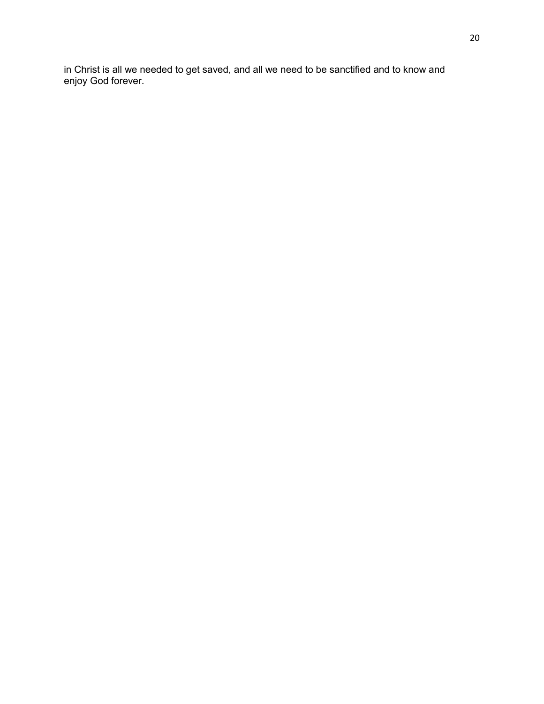in Christ is all we needed to get saved, and all we need to be sanctified and to know and enjoy God forever.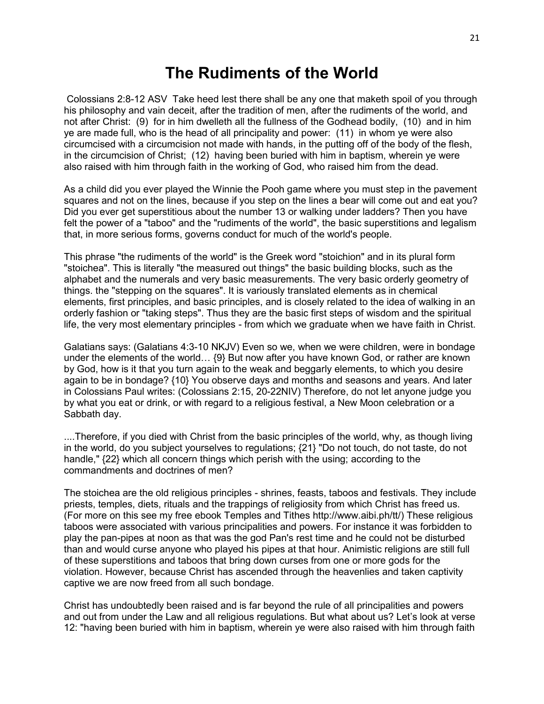#### **The Rudiments of the World**

Colossians 2:8-12 ASV Take heed lest there shall be any one that maketh spoil of you through his philosophy and vain deceit, after the tradition of men, after the rudiments of the world, and not after Christ: (9) for in him dwelleth all the fullness of the Godhead bodily, (10) and in him ye are made full, who is the head of all principality and power: (11) in whom ye were also circumcised with a circumcision not made with hands, in the putting off of the body of the flesh, in the circumcision of Christ; (12) having been buried with him in baptism, wherein ye were also raised with him through faith in the working of God, who raised him from the dead.

As a child did you ever played the Winnie the Pooh game where you must step in the pavement squares and not on the lines, because if you step on the lines a bear will come out and eat you? Did you ever get superstitious about the number 13 or walking under ladders? Then you have felt the power of a "taboo" and the "rudiments of the world", the basic superstitions and legalism that, in more serious forms, governs conduct for much of the world's people.

This phrase "the rudiments of the world" is the Greek word "stoichion" and in its plural form "stoichea". This is literally "the measured out things" the basic building blocks, such as the alphabet and the numerals and very basic measurements. The very basic orderly geometry of things. the "stepping on the squares". It is variously translated elements as in chemical elements, first principles, and basic principles, and is closely related to the idea of walking in an orderly fashion or "taking steps". Thus they are the basic first steps of wisdom and the spiritual life, the very most elementary principles - from which we graduate when we have faith in Christ.

Galatians says: (Galatians 4:3-10 NKJV) Even so we, when we were children, were in bondage under the elements of the world… {9} But now after you have known God, or rather are known by God, how is it that you turn again to the weak and beggarly elements, to which you desire again to be in bondage? {10} You observe days and months and seasons and years. And later in Colossians Paul writes: (Colossians 2:15, 20-22NIV) Therefore, do not let anyone judge you by what you eat or drink, or with regard to a religious festival, a New Moon celebration or a Sabbath day.

....Therefore, if you died with Christ from the basic principles of the world, why, as though living in the world, do you subject yourselves to regulations; {21} "Do not touch, do not taste, do not handle," {22} which all concern things which perish with the using; according to the commandments and doctrines of men?

The stoichea are the old religious principles - shrines, feasts, taboos and festivals. They include priests, temples, diets, rituals and the trappings of religiosity from which Christ has freed us. (For more on this see my free ebook Temples and Tithes http://www.aibi.ph/tt/) These religious taboos were associated with various principalities and powers. For instance it was forbidden to play the pan-pipes at noon as that was the god Pan's rest time and he could not be disturbed than and would curse anyone who played his pipes at that hour. Animistic religions are still full of these superstitions and taboos that bring down curses from one or more gods for the violation. However, because Christ has ascended through the heavenlies and taken captivity captive we are now freed from all such bondage.

Christ has undoubtedly been raised and is far beyond the rule of all principalities and powers and out from under the Law and all religious regulations. But what about us? Let's look at verse 12: "having been buried with him in baptism, wherein ye were also raised with him through faith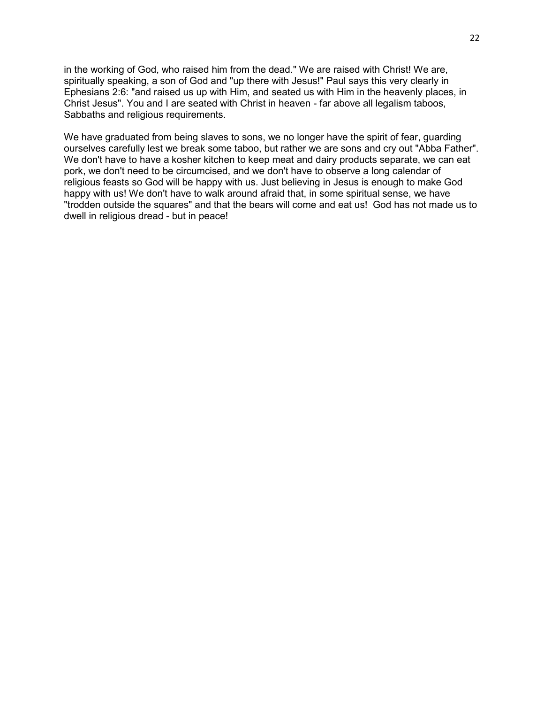in the working of God, who raised him from the dead." We are raised with Christ! We are, spiritually speaking, a son of God and "up there with Jesus!" Paul says this very clearly in Ephesians 2:6: "and raised us up with Him, and seated us with Him in the heavenly places, in Christ Jesus". You and I are seated with Christ in heaven - far above all legalism taboos, Sabbaths and religious requirements.

We have graduated from being slaves to sons, we no longer have the spirit of fear, guarding ourselves carefully lest we break some taboo, but rather we are sons and cry out "Abba Father". We don't have to have a kosher kitchen to keep meat and dairy products separate, we can eat pork, we don't need to be circumcised, and we don't have to observe a long calendar of religious feasts so God will be happy with us. Just believing in Jesus is enough to make God happy with us! We don't have to walk around afraid that, in some spiritual sense, we have "trodden outside the squares" and that the bears will come and eat us! God has not made us to dwell in religious dread - but in peace!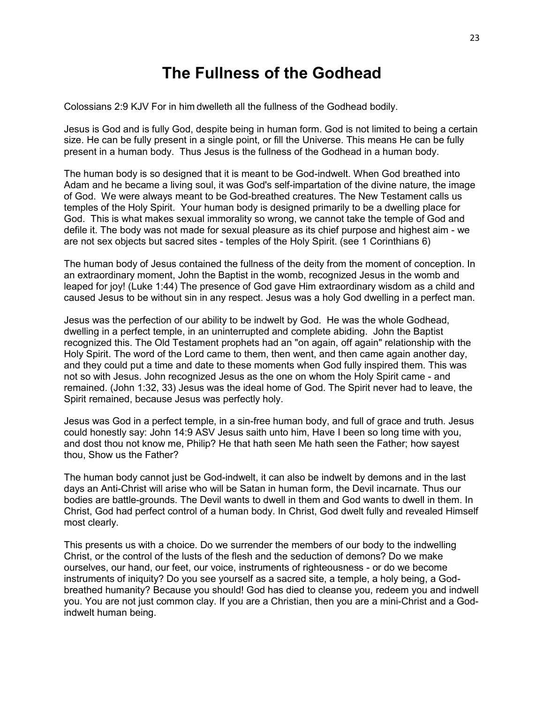# **The Fullness of the Godhead**

Colossians 2:9 KJV For in him dwelleth all the fullness of the Godhead bodily.

Jesus is God and is fully God, despite being in human form. God is not limited to being a certain size. He can be fully present in a single point, or fill the Universe. This means He can be fully present in a human body. Thus Jesus is the fullness of the Godhead in a human body.

The human body is so designed that it is meant to be God-indwelt. When God breathed into Adam and he became a living soul, it was God's self-impartation of the divine nature, the image of God. We were always meant to be God-breathed creatures. The New Testament calls us temples of the Holy Spirit. Your human body is designed primarily to be a dwelling place for God. This is what makes sexual immorality so wrong, we cannot take the temple of God and defile it. The body was not made for sexual pleasure as its chief purpose and highest aim - we are not sex objects but sacred sites - temples of the Holy Spirit. (see 1 Corinthians 6)

The human body of Jesus contained the fullness of the deity from the moment of conception. In an extraordinary moment, John the Baptist in the womb, recognized Jesus in the womb and leaped for joy! (Luke 1:44) The presence of God gave Him extraordinary wisdom as a child and caused Jesus to be without sin in any respect. Jesus was a holy God dwelling in a perfect man.

Jesus was the perfection of our ability to be indwelt by God. He was the whole Godhead, dwelling in a perfect temple, in an uninterrupted and complete abiding. John the Baptist recognized this. The Old Testament prophets had an "on again, off again" relationship with the Holy Spirit. The word of the Lord came to them, then went, and then came again another day, and they could put a time and date to these moments when God fully inspired them. This was not so with Jesus. John recognized Jesus as the one on whom the Holy Spirit came - and remained. (John 1:32, 33) Jesus was the ideal home of God. The Spirit never had to leave, the Spirit remained, because Jesus was perfectly holy.

Jesus was God in a perfect temple, in a sin-free human body, and full of grace and truth. Jesus could honestly say: John 14:9 ASV Jesus saith unto him, Have I been so long time with you, and dost thou not know me, Philip? He that hath seen Me hath seen the Father; how sayest thou, Show us the Father?

The human body cannot just be God-indwelt, it can also be indwelt by demons and in the last days an Anti-Christ will arise who will be Satan in human form, the Devil incarnate. Thus our bodies are battle-grounds. The Devil wants to dwell in them and God wants to dwell in them. In Christ, God had perfect control of a human body. In Christ, God dwelt fully and revealed Himself most clearly.

This presents us with a choice. Do we surrender the members of our body to the indwelling Christ, or the control of the lusts of the flesh and the seduction of demons? Do we make ourselves, our hand, our feet, our voice, instruments of righteousness - or do we become instruments of iniquity? Do you see yourself as a sacred site, a temple, a holy being, a Godbreathed humanity? Because you should! God has died to cleanse you, redeem you and indwell you. You are not just common clay. If you are a Christian, then you are a mini-Christ and a Godindwelt human being.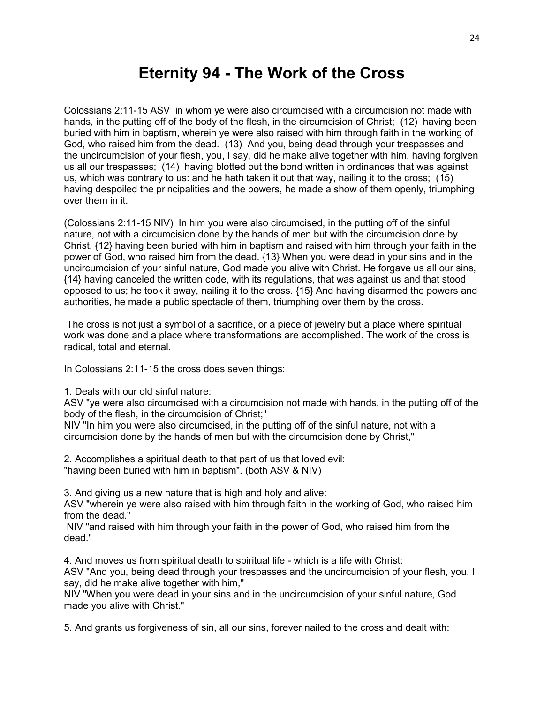# **Eternity 94 - The Work of the Cross**

Colossians 2:11-15 ASV in whom ye were also circumcised with a circumcision not made with hands, in the putting off of the body of the flesh, in the circumcision of Christ; (12) having been buried with him in baptism, wherein ye were also raised with him through faith in the working of God, who raised him from the dead. (13) And you, being dead through your trespasses and the uncircumcision of your flesh, you, I say, did he make alive together with him, having forgiven us all our trespasses; (14) having blotted out the bond written in ordinances that was against us, which was contrary to us: and he hath taken it out that way, nailing it to the cross; (15) having despoiled the principalities and the powers, he made a show of them openly, triumphing over them in it.

(Colossians 2:11-15 NIV) In him you were also circumcised, in the putting off of the sinful nature, not with a circumcision done by the hands of men but with the circumcision done by Christ, {12} having been buried with him in baptism and raised with him through your faith in the power of God, who raised him from the dead. {13} When you were dead in your sins and in the uncircumcision of your sinful nature, God made you alive with Christ. He forgave us all our sins, {14} having canceled the written code, with its regulations, that was against us and that stood opposed to us; he took it away, nailing it to the cross. {15} And having disarmed the powers and authorities, he made a public spectacle of them, triumphing over them by the cross.

The cross is not just a symbol of a sacrifice, or a piece of jewelry but a place where spiritual work was done and a place where transformations are accomplished. The work of the cross is radical, total and eternal.

In Colossians 2:11-15 the cross does seven things:

1. Deals with our old sinful nature:

ASV "ye were also circumcised with a circumcision not made with hands, in the putting off of the body of the flesh, in the circumcision of Christ;"

NIV "In him you were also circumcised, in the putting off of the sinful nature, not with a circumcision done by the hands of men but with the circumcision done by Christ,"

2. Accomplishes a spiritual death to that part of us that loved evil: "having been buried with him in baptism". (both ASV & NIV)

3. And giving us a new nature that is high and holy and alive:

ASV "wherein ye were also raised with him through faith in the working of God, who raised him from the dead."

NIV "and raised with him through your faith in the power of God, who raised him from the dead."

4. And moves us from spiritual death to spiritual life - which is a life with Christ:

ASV "And you, being dead through your trespasses and the uncircumcision of your flesh, you, I say, did he make alive together with him,"

NIV "When you were dead in your sins and in the uncircumcision of your sinful nature, God made you alive with Christ."

5. And grants us forgiveness of sin, all our sins, forever nailed to the cross and dealt with: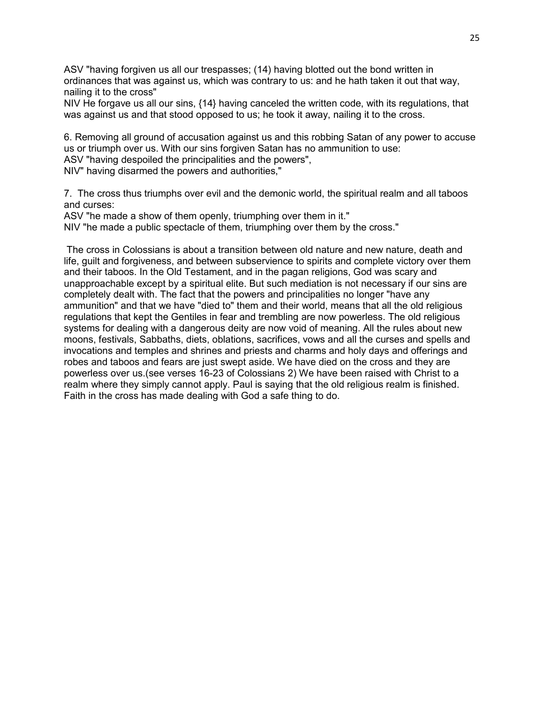ASV "having forgiven us all our trespasses; (14) having blotted out the bond written in ordinances that was against us, which was contrary to us: and he hath taken it out that way, nailing it to the cross"

NIV He forgave us all our sins, {14} having canceled the written code, with its regulations, that was against us and that stood opposed to us; he took it away, nailing it to the cross.

6. Removing all ground of accusation against us and this robbing Satan of any power to accuse us or triumph over us. With our sins forgiven Satan has no ammunition to use: ASV "having despoiled the principalities and the powers",

NIV" having disarmed the powers and authorities,"

7. The cross thus triumphs over evil and the demonic world, the spiritual realm and all taboos and curses:

ASV "he made a show of them openly, triumphing over them in it."

NIV "he made a public spectacle of them, triumphing over them by the cross."

The cross in Colossians is about a transition between old nature and new nature, death and life, guilt and forgiveness, and between subservience to spirits and complete victory over them and their taboos. In the Old Testament, and in the pagan religions, God was scary and unapproachable except by a spiritual elite. But such mediation is not necessary if our sins are completely dealt with. The fact that the powers and principalities no longer "have any ammunition" and that we have "died to" them and their world, means that all the old religious regulations that kept the Gentiles in fear and trembling are now powerless. The old religious systems for dealing with a dangerous deity are now void of meaning. All the rules about new moons, festivals, Sabbaths, diets, oblations, sacrifices, vows and all the curses and spells and invocations and temples and shrines and priests and charms and holy days and offerings and robes and taboos and fears are just swept aside. We have died on the cross and they are powerless over us.(see verses 16-23 of Colossians 2) We have been raised with Christ to a realm where they simply cannot apply. Paul is saying that the old religious realm is finished. Faith in the cross has made dealing with God a safe thing to do.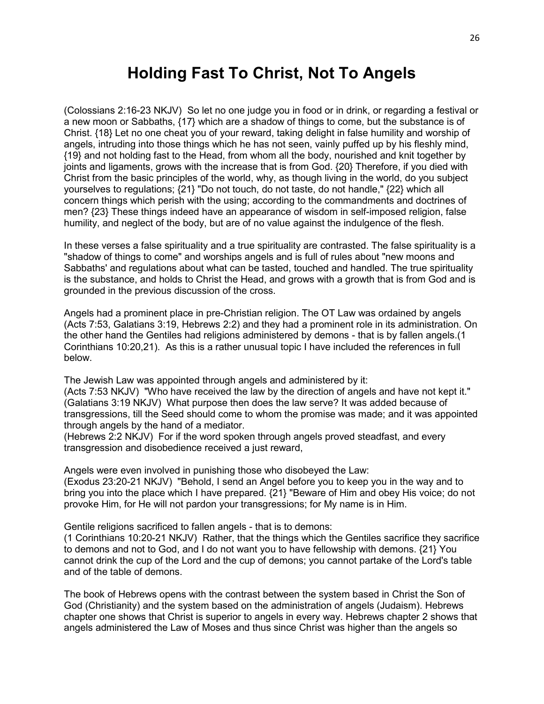# **Holding Fast To Christ, Not To Angels**

(Colossians 2:16-23 NKJV) So let no one judge you in food or in drink, or regarding a festival or a new moon or Sabbaths, {17} which are a shadow of things to come, but the substance is of Christ. {18} Let no one cheat you of your reward, taking delight in false humility and worship of angels, intruding into those things which he has not seen, vainly puffed up by his fleshly mind, {19} and not holding fast to the Head, from whom all the body, nourished and knit together by joints and ligaments, grows with the increase that is from God. {20} Therefore, if you died with Christ from the basic principles of the world, why, as though living in the world, do you subject yourselves to regulations; {21} "Do not touch, do not taste, do not handle," {22} which all concern things which perish with the using; according to the commandments and doctrines of men? {23} These things indeed have an appearance of wisdom in self-imposed religion, false humility, and neglect of the body, but are of no value against the indulgence of the flesh.

In these verses a false spirituality and a true spirituality are contrasted. The false spirituality is a "shadow of things to come" and worships angels and is full of rules about "new moons and Sabbaths' and regulations about what can be tasted, touched and handled. The true spirituality is the substance, and holds to Christ the Head, and grows with a growth that is from God and is grounded in the previous discussion of the cross.

Angels had a prominent place in pre-Christian religion. The OT Law was ordained by angels (Acts 7:53, Galatians 3:19, Hebrews 2:2) and they had a prominent role in its administration. On the other hand the Gentiles had religions administered by demons - that is by fallen angels.(1 Corinthians 10:20,21). As this is a rather unusual topic I have included the references in full below.

The Jewish Law was appointed through angels and administered by it:

(Acts 7:53 NKJV) "Who have received the law by the direction of angels and have not kept it." (Galatians 3:19 NKJV) What purpose then does the law serve? It was added because of transgressions, till the Seed should come to whom the promise was made; and it was appointed through angels by the hand of a mediator.

(Hebrews 2:2 NKJV) For if the word spoken through angels proved steadfast, and every transgression and disobedience received a just reward,

Angels were even involved in punishing those who disobeyed the Law:

(Exodus 23:20-21 NKJV) "Behold, I send an Angel before you to keep you in the way and to bring you into the place which I have prepared. {21} "Beware of Him and obey His voice; do not provoke Him, for He will not pardon your transgressions; for My name is in Him.

Gentile religions sacrificed to fallen angels - that is to demons:

(1 Corinthians 10:20-21 NKJV) Rather, that the things which the Gentiles sacrifice they sacrifice to demons and not to God, and I do not want you to have fellowship with demons. {21} You cannot drink the cup of the Lord and the cup of demons; you cannot partake of the Lord's table and of the table of demons.

The book of Hebrews opens with the contrast between the system based in Christ the Son of God (Christianity) and the system based on the administration of angels (Judaism). Hebrews chapter one shows that Christ is superior to angels in every way. Hebrews chapter 2 shows that angels administered the Law of Moses and thus since Christ was higher than the angels so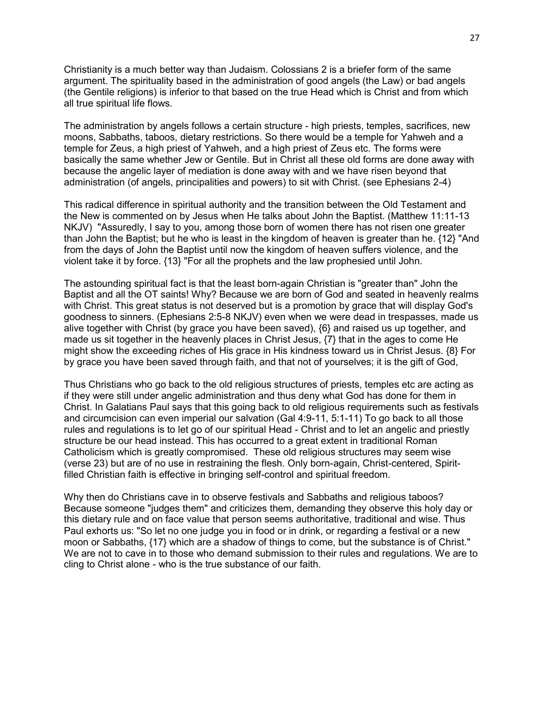Christianity is a much better way than Judaism. Colossians 2 is a briefer form of the same argument. The spirituality based in the administration of good angels (the Law) or bad angels (the Gentile religions) is inferior to that based on the true Head which is Christ and from which all true spiritual life flows.

The administration by angels follows a certain structure - high priests, temples, sacrifices, new moons, Sabbaths, taboos, dietary restrictions. So there would be a temple for Yahweh and a temple for Zeus, a high priest of Yahweh, and a high priest of Zeus etc. The forms were basically the same whether Jew or Gentile. But in Christ all these old forms are done away with because the angelic layer of mediation is done away with and we have risen beyond that administration (of angels, principalities and powers) to sit with Christ. (see Ephesians 2-4)

This radical difference in spiritual authority and the transition between the Old Testament and the New is commented on by Jesus when He talks about John the Baptist. (Matthew 11:11-13 NKJV) "Assuredly, I say to you, among those born of women there has not risen one greater than John the Baptist; but he who is least in the kingdom of heaven is greater than he. {12} "And from the days of John the Baptist until now the kingdom of heaven suffers violence, and the violent take it by force. {13} "For all the prophets and the law prophesied until John.

The astounding spiritual fact is that the least born-again Christian is "greater than" John the Baptist and all the OT saints! Why? Because we are born of God and seated in heavenly realms with Christ. This great status is not deserved but is a promotion by grace that will display God's goodness to sinners. (Ephesians 2:5-8 NKJV) even when we were dead in trespasses, made us alive together with Christ (by grace you have been saved), {6} and raised us up together, and made us sit together in the heavenly places in Christ Jesus, {7} that in the ages to come He might show the exceeding riches of His grace in His kindness toward us in Christ Jesus. {8} For by grace you have been saved through faith, and that not of yourselves; it is the gift of God,

Thus Christians who go back to the old religious structures of priests, temples etc are acting as if they were still under angelic administration and thus deny what God has done for them in Christ. In Galatians Paul says that this going back to old religious requirements such as festivals and circumcision can even imperial our salvation (Gal 4:9-11, 5:1-11) To go back to all those rules and regulations is to let go of our spiritual Head - Christ and to let an angelic and priestly structure be our head instead. This has occurred to a great extent in traditional Roman Catholicism which is greatly compromised. These old religious structures may seem wise (verse 23) but are of no use in restraining the flesh. Only born-again, Christ-centered, Spiritfilled Christian faith is effective in bringing self-control and spiritual freedom.

Why then do Christians cave in to observe festivals and Sabbaths and religious taboos? Because someone "judges them" and criticizes them, demanding they observe this holy day or this dietary rule and on face value that person seems authoritative, traditional and wise. Thus Paul exhorts us: "So let no one judge you in food or in drink, or regarding a festival or a new moon or Sabbaths, {17} which are a shadow of things to come, but the substance is of Christ." We are not to cave in to those who demand submission to their rules and regulations. We are to cling to Christ alone - who is the true substance of our faith.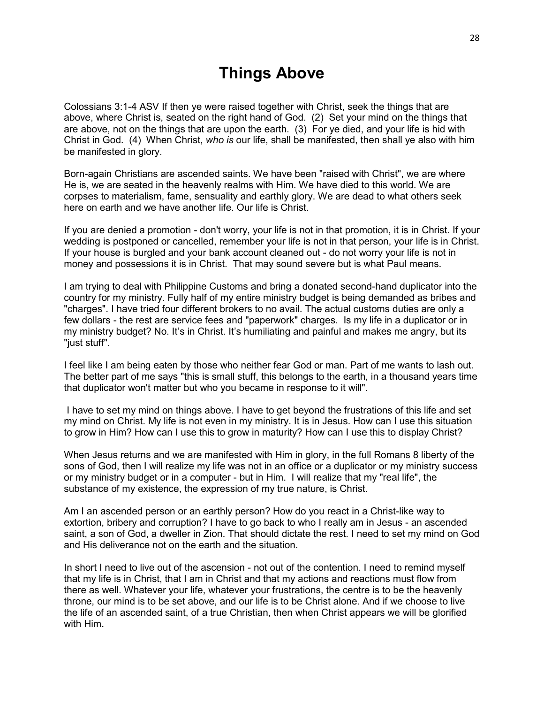# **Things Above**

Colossians 3:1-4 ASV If then ye were raised together with Christ, seek the things that are above, where Christ is, seated on the right hand of God. (2) Set your mind on the things that are above, not on the things that are upon the earth. (3) For ye died, and your life is hid with Christ in God. (4) When Christ, *who is* our life, shall be manifested, then shall ye also with him be manifested in glory.

Born-again Christians are ascended saints. We have been "raised with Christ", we are where He is, we are seated in the heavenly realms with Him. We have died to this world. We are corpses to materialism, fame, sensuality and earthly glory. We are dead to what others seek here on earth and we have another life. Our life is Christ.

If you are denied a promotion - don't worry, your life is not in that promotion, it is in Christ. If your wedding is postponed or cancelled, remember your life is not in that person, your life is in Christ. If your house is burgled and your bank account cleaned out - do not worry your life is not in money and possessions it is in Christ. That may sound severe but is what Paul means.

I am trying to deal with Philippine Customs and bring a donated second-hand duplicator into the country for my ministry. Fully half of my entire ministry budget is being demanded as bribes and "charges". I have tried four different brokers to no avail. The actual customs duties are only a few dollars - the rest are service fees and "paperwork" charges. Is my life in a duplicator or in my ministry budget? No. It's in Christ. It's humiliating and painful and makes me angry, but its "just stuff".

I feel like I am being eaten by those who neither fear God or man. Part of me wants to lash out. The better part of me says "this is small stuff, this belongs to the earth, in a thousand years time that duplicator won't matter but who you became in response to it will".

I have to set my mind on things above. I have to get beyond the frustrations of this life and set my mind on Christ. My life is not even in my ministry. It is in Jesus. How can I use this situation to grow in Him? How can I use this to grow in maturity? How can I use this to display Christ?

When Jesus returns and we are manifested with Him in glory, in the full Romans 8 liberty of the sons of God, then I will realize my life was not in an office or a duplicator or my ministry success or my ministry budget or in a computer - but in Him. I will realize that my "real life", the substance of my existence, the expression of my true nature, is Christ.

Am I an ascended person or an earthly person? How do you react in a Christ-like way to extortion, bribery and corruption? I have to go back to who I really am in Jesus - an ascended saint, a son of God, a dweller in Zion. That should dictate the rest. I need to set my mind on God and His deliverance not on the earth and the situation.

In short I need to live out of the ascension - not out of the contention. I need to remind myself that my life is in Christ, that I am in Christ and that my actions and reactions must flow from there as well. Whatever your life, whatever your frustrations, the centre is to be the heavenly throne, our mind is to be set above, and our life is to be Christ alone. And if we choose to live the life of an ascended saint, of a true Christian, then when Christ appears we will be glorified with Him.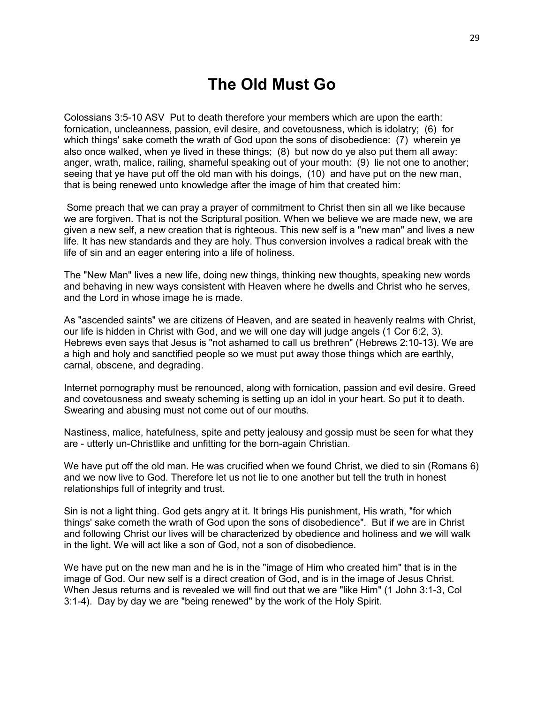# **The Old Must Go**

Colossians 3:5-10 ASV Put to death therefore your members which are upon the earth: fornication, uncleanness, passion, evil desire, and covetousness, which is idolatry; (6) for which things' sake cometh the wrath of God upon the sons of disobedience: (7) wherein ye also once walked, when ye lived in these things; (8) but now do ye also put them all away: anger, wrath, malice, railing, shameful speaking out of your mouth: (9) lie not one to another; seeing that ye have put off the old man with his doings, (10) and have put on the new man, that is being renewed unto knowledge after the image of him that created him:

Some preach that we can pray a prayer of commitment to Christ then sin all we like because we are forgiven. That is not the Scriptural position. When we believe we are made new, we are given a new self, a new creation that is righteous. This new self is a "new man" and lives a new life. It has new standards and they are holy. Thus conversion involves a radical break with the life of sin and an eager entering into a life of holiness.

The "New Man" lives a new life, doing new things, thinking new thoughts, speaking new words and behaving in new ways consistent with Heaven where he dwells and Christ who he serves, and the Lord in whose image he is made.

As "ascended saints" we are citizens of Heaven, and are seated in heavenly realms with Christ, our life is hidden in Christ with God, and we will one day will judge angels (1 Cor 6:2, 3). Hebrews even says that Jesus is "not ashamed to call us brethren" (Hebrews 2:10-13). We are a high and holy and sanctified people so we must put away those things which are earthly, carnal, obscene, and degrading.

Internet pornography must be renounced, along with fornication, passion and evil desire. Greed and covetousness and sweaty scheming is setting up an idol in your heart. So put it to death. Swearing and abusing must not come out of our mouths.

Nastiness, malice, hatefulness, spite and petty jealousy and gossip must be seen for what they are - utterly un-Christlike and unfitting for the born-again Christian.

We have put off the old man. He was crucified when we found Christ, we died to sin (Romans 6) and we now live to God. Therefore let us not lie to one another but tell the truth in honest relationships full of integrity and trust.

Sin is not a light thing. God gets angry at it. It brings His punishment, His wrath, "for which things' sake cometh the wrath of God upon the sons of disobedience". But if we are in Christ and following Christ our lives will be characterized by obedience and holiness and we will walk in the light. We will act like a son of God, not a son of disobedience.

We have put on the new man and he is in the "image of Him who created him" that is in the image of God. Our new self is a direct creation of God, and is in the image of Jesus Christ. When Jesus returns and is revealed we will find out that we are "like Him" (1 John 3:1-3, Col 3:1-4). Day by day we are "being renewed" by the work of the Holy Spirit.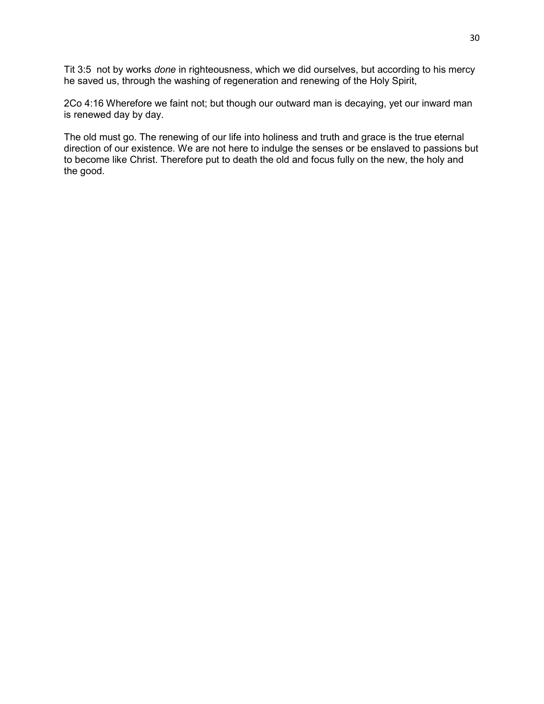Tit 3:5 not by works *done* in righteousness, which we did ourselves, but according to his mercy he saved us, through the washing of regeneration and renewing of the Holy Spirit,

2Co 4:16 Wherefore we faint not; but though our outward man is decaying, yet our inward man is renewed day by day.

The old must go. The renewing of our life into holiness and truth and grace is the true eternal direction of our existence. We are not here to indulge the senses or be enslaved to passions but to become like Christ. Therefore put to death the old and focus fully on the new, the holy and the good.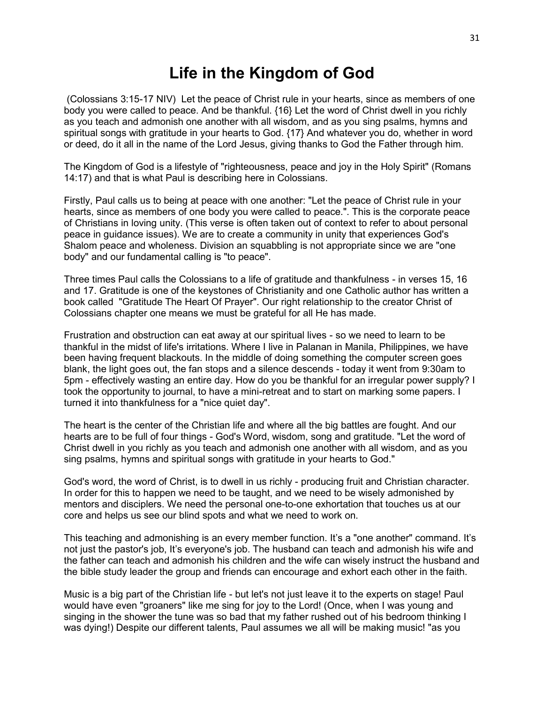# **Life in the Kingdom of God**

(Colossians 3:15-17 NIV) Let the peace of Christ rule in your hearts, since as members of one body you were called to peace. And be thankful. {16} Let the word of Christ dwell in you richly as you teach and admonish one another with all wisdom, and as you sing psalms, hymns and spiritual songs with gratitude in your hearts to God. {17} And whatever you do, whether in word or deed, do it all in the name of the Lord Jesus, giving thanks to God the Father through him.

The Kingdom of God is a lifestyle of "righteousness, peace and joy in the Holy Spirit" (Romans 14:17) and that is what Paul is describing here in Colossians.

Firstly, Paul calls us to being at peace with one another: "Let the peace of Christ rule in your hearts, since as members of one body you were called to peace.". This is the corporate peace of Christians in loving unity. (This verse is often taken out of context to refer to about personal peace in guidance issues). We are to create a community in unity that experiences God's Shalom peace and wholeness. Division an squabbling is not appropriate since we are "one body" and our fundamental calling is "to peace".

Three times Paul calls the Colossians to a life of gratitude and thankfulness - in verses 15, 16 and 17. Gratitude is one of the keystones of Christianity and one Catholic author has written a book called "Gratitude The Heart Of Prayer". Our right relationship to the creator Christ of Colossians chapter one means we must be grateful for all He has made.

Frustration and obstruction can eat away at our spiritual lives - so we need to learn to be thankful in the midst of life's irritations. Where I live in Palanan in Manila, Philippines, we have been having frequent blackouts. In the middle of doing something the computer screen goes blank, the light goes out, the fan stops and a silence descends - today it went from 9:30am to 5pm - effectively wasting an entire day. How do you be thankful for an irregular power supply? I took the opportunity to journal, to have a mini-retreat and to start on marking some papers. I turned it into thankfulness for a "nice quiet day".

The heart is the center of the Christian life and where all the big battles are fought. And our hearts are to be full of four things - God's Word, wisdom, song and gratitude. "Let the word of Christ dwell in you richly as you teach and admonish one another with all wisdom, and as you sing psalms, hymns and spiritual songs with gratitude in your hearts to God."

God's word, the word of Christ, is to dwell in us richly - producing fruit and Christian character. In order for this to happen we need to be taught, and we need to be wisely admonished by mentors and disciplers. We need the personal one-to-one exhortation that touches us at our core and helps us see our blind spots and what we need to work on.

This teaching and admonishing is an every member function. It's a "one another" command. It's not just the pastor's job, It's everyone's job. The husband can teach and admonish his wife and the father can teach and admonish his children and the wife can wisely instruct the husband and the bible study leader the group and friends can encourage and exhort each other in the faith.

Music is a big part of the Christian life - but let's not just leave it to the experts on stage! Paul would have even "groaners" like me sing for joy to the Lord! (Once, when I was young and singing in the shower the tune was so bad that my father rushed out of his bedroom thinking I was dying!) Despite our different talents, Paul assumes we all will be making music! "as you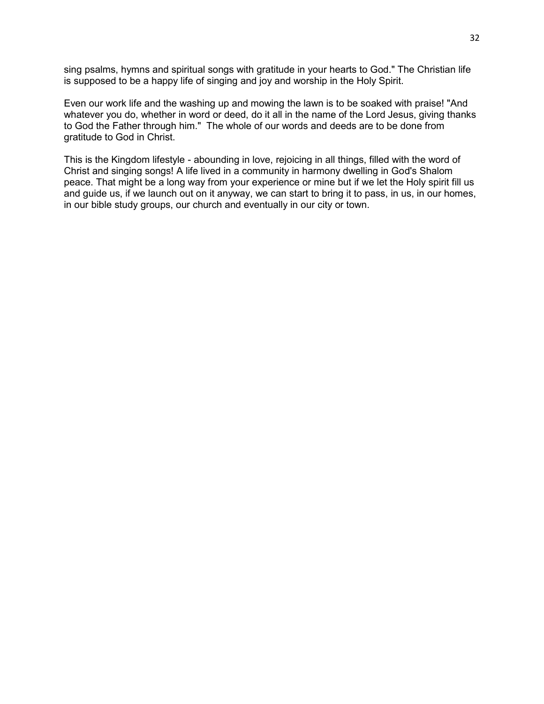sing psalms, hymns and spiritual songs with gratitude in your hearts to God." The Christian life is supposed to be a happy life of singing and joy and worship in the Holy Spirit.

Even our work life and the washing up and mowing the lawn is to be soaked with praise! "And whatever you do, whether in word or deed, do it all in the name of the Lord Jesus, giving thanks to God the Father through him." The whole of our words and deeds are to be done from gratitude to God in Christ.

This is the Kingdom lifestyle - abounding in love, rejoicing in all things, filled with the word of Christ and singing songs! A life lived in a community in harmony dwelling in God's Shalom peace. That might be a long way from your experience or mine but if we let the Holy spirit fill us and guide us, if we launch out on it anyway, we can start to bring it to pass, in us, in our homes, in our bible study groups, our church and eventually in our city or town.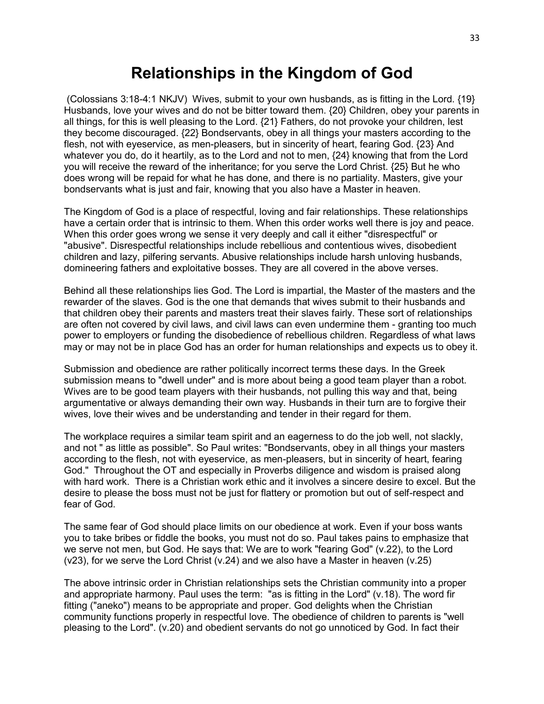#### **Relationships in the Kingdom of God**

(Colossians 3:18-4:1 NKJV) Wives, submit to your own husbands, as is fitting in the Lord. {19} Husbands, love your wives and do not be bitter toward them. {20} Children, obey your parents in all things, for this is well pleasing to the Lord. {21} Fathers, do not provoke your children, lest they become discouraged. {22} Bondservants, obey in all things your masters according to the flesh, not with eyeservice, as men-pleasers, but in sincerity of heart, fearing God. {23} And whatever you do, do it heartily, as to the Lord and not to men, {24} knowing that from the Lord you will receive the reward of the inheritance; for you serve the Lord Christ. {25} But he who does wrong will be repaid for what he has done, and there is no partiality. Masters, give your bondservants what is just and fair, knowing that you also have a Master in heaven.

The Kingdom of God is a place of respectful, loving and fair relationships. These relationships have a certain order that is intrinsic to them. When this order works well there is joy and peace. When this order goes wrong we sense it very deeply and call it either "disrespectful" or "abusive". Disrespectful relationships include rebellious and contentious wives, disobedient children and lazy, pilfering servants. Abusive relationships include harsh unloving husbands, domineering fathers and exploitative bosses. They are all covered in the above verses.

Behind all these relationships lies God. The Lord is impartial, the Master of the masters and the rewarder of the slaves. God is the one that demands that wives submit to their husbands and that children obey their parents and masters treat their slaves fairly. These sort of relationships are often not covered by civil laws, and civil laws can even undermine them - granting too much power to employers or funding the disobedience of rebellious children. Regardless of what laws may or may not be in place God has an order for human relationships and expects us to obey it.

Submission and obedience are rather politically incorrect terms these days. In the Greek submission means to "dwell under" and is more about being a good team player than a robot. Wives are to be good team players with their husbands, not pulling this way and that, being argumentative or always demanding their own way. Husbands in their turn are to forgive their wives, love their wives and be understanding and tender in their regard for them.

The workplace requires a similar team spirit and an eagerness to do the job well, not slackly, and not " as little as possible". So Paul writes: "Bondservants, obey in all things your masters according to the flesh, not with eyeservice, as men-pleasers, but in sincerity of heart, fearing God." Throughout the OT and especially in Proverbs diligence and wisdom is praised along with hard work. There is a Christian work ethic and it involves a sincere desire to excel. But the desire to please the boss must not be just for flattery or promotion but out of self-respect and fear of God.

The same fear of God should place limits on our obedience at work. Even if your boss wants you to take bribes or fiddle the books, you must not do so. Paul takes pains to emphasize that we serve not men, but God. He says that: We are to work "fearing God" (v.22), to the Lord (v23), for we serve the Lord Christ (v.24) and we also have a Master in heaven (v.25)

The above intrinsic order in Christian relationships sets the Christian community into a proper and appropriate harmony. Paul uses the term: "as is fitting in the Lord" (v.18). The word fir fitting ("aneko") means to be appropriate and proper. God delights when the Christian community functions properly in respectful love. The obedience of children to parents is "well pleasing to the Lord". (v.20) and obedient servants do not go unnoticed by God. In fact their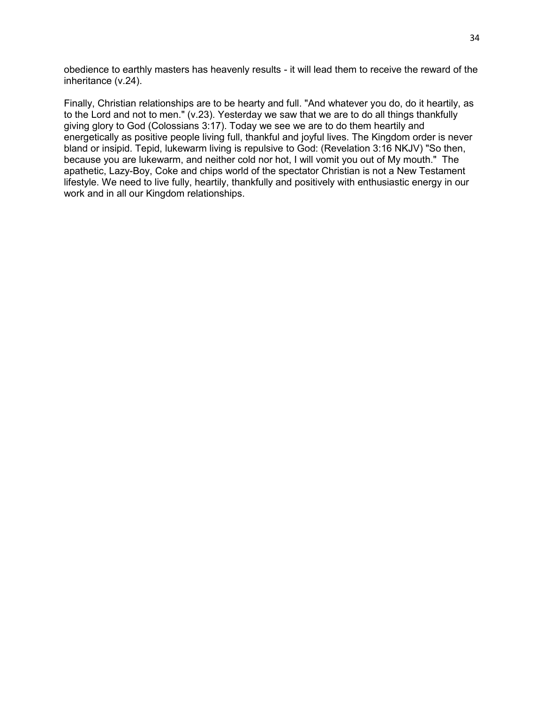obedience to earthly masters has heavenly results - it will lead them to receive the reward of the inheritance (v.24).

Finally, Christian relationships are to be hearty and full. "And whatever you do, do it heartily, as to the Lord and not to men." (v.23). Yesterday we saw that we are to do all things thankfully giving glory to God (Colossians 3:17). Today we see we are to do them heartily and energetically as positive people living full, thankful and joyful lives. The Kingdom order is never bland or insipid. Tepid, lukewarm living is repulsive to God: (Revelation 3:16 NKJV) "So then, because you are lukewarm, and neither cold nor hot, I will vomit you out of My mouth." The apathetic, Lazy-Boy, Coke and chips world of the spectator Christian is not a New Testament lifestyle. We need to live fully, heartily, thankfully and positively with enthusiastic energy in our work and in all our Kingdom relationships.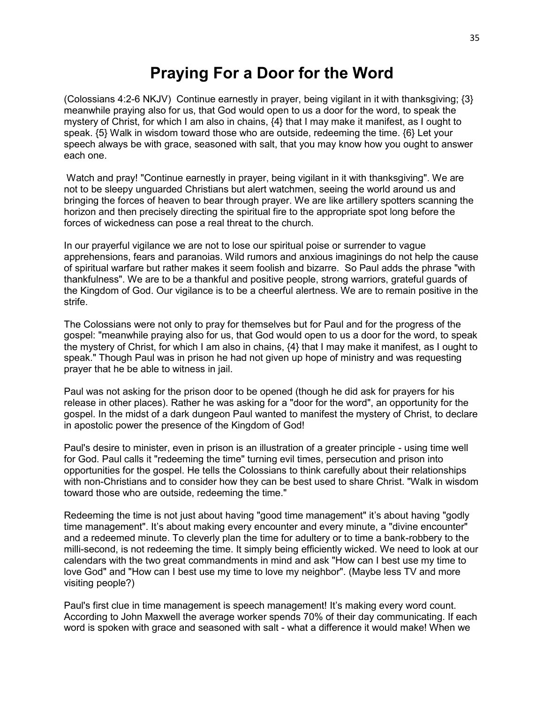# **Praying For a Door for the Word**

(Colossians 4:2-6 NKJV) Continue earnestly in prayer, being vigilant in it with thanksgiving; {3} meanwhile praying also for us, that God would open to us a door for the word, to speak the mystery of Christ, for which I am also in chains, {4} that I may make it manifest, as I ought to speak. {5} Walk in wisdom toward those who are outside, redeeming the time. {6} Let your speech always be with grace, seasoned with salt, that you may know how you ought to answer each one.

Watch and pray! "Continue earnestly in prayer, being vigilant in it with thanksgiving". We are not to be sleepy unguarded Christians but alert watchmen, seeing the world around us and bringing the forces of heaven to bear through prayer. We are like artillery spotters scanning the horizon and then precisely directing the spiritual fire to the appropriate spot long before the forces of wickedness can pose a real threat to the church.

In our prayerful vigilance we are not to lose our spiritual poise or surrender to vague apprehensions, fears and paranoias. Wild rumors and anxious imaginings do not help the cause of spiritual warfare but rather makes it seem foolish and bizarre. So Paul adds the phrase "with thankfulness". We are to be a thankful and positive people, strong warriors, grateful guards of the Kingdom of God. Our vigilance is to be a cheerful alertness. We are to remain positive in the strife.

The Colossians were not only to pray for themselves but for Paul and for the progress of the gospel: "meanwhile praying also for us, that God would open to us a door for the word, to speak the mystery of Christ, for which I am also in chains, {4} that I may make it manifest, as I ought to speak." Though Paul was in prison he had not given up hope of ministry and was requesting prayer that he be able to witness in jail.

Paul was not asking for the prison door to be opened (though he did ask for prayers for his release in other places). Rather he was asking for a "door for the word", an opportunity for the gospel. In the midst of a dark dungeon Paul wanted to manifest the mystery of Christ, to declare in apostolic power the presence of the Kingdom of God!

Paul's desire to minister, even in prison is an illustration of a greater principle - using time well for God. Paul calls it "redeeming the time" turning evil times, persecution and prison into opportunities for the gospel. He tells the Colossians to think carefully about their relationships with non-Christians and to consider how they can be best used to share Christ. "Walk in wisdom toward those who are outside, redeeming the time."

Redeeming the time is not just about having "good time management" it's about having "godly time management". It's about making every encounter and every minute, a "divine encounter" and a redeemed minute. To cleverly plan the time for adultery or to time a bank-robbery to the milli-second, is not redeeming the time. It simply being efficiently wicked. We need to look at our calendars with the two great commandments in mind and ask "How can I best use my time to love God" and "How can I best use my time to love my neighbor". (Maybe less TV and more visiting people?)

Paul's first clue in time management is speech management! It's making every word count. According to John Maxwell the average worker spends 70% of their day communicating. If each word is spoken with grace and seasoned with salt - what a difference it would make! When we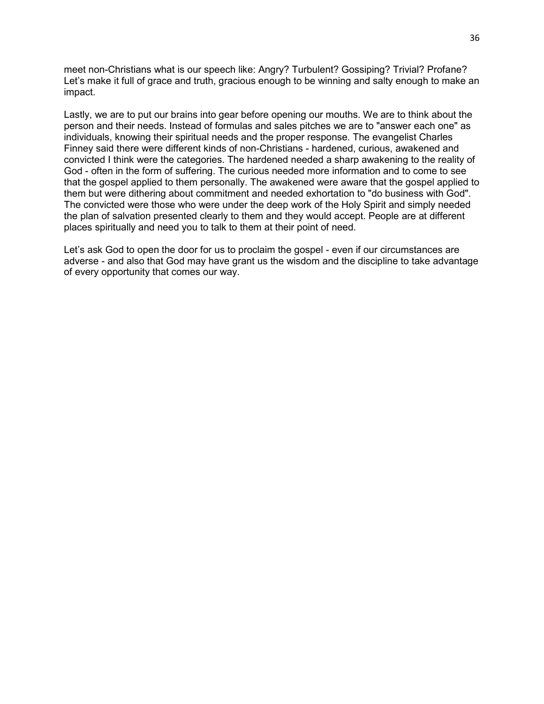meet non-Christians what is our speech like: Angry? Turbulent? Gossiping? Trivial? Profane? Let's make it full of grace and truth, gracious enough to be winning and salty enough to make an impact.

Lastly, we are to put our brains into gear before opening our mouths. We are to think about the person and their needs. Instead of formulas and sales pitches we are to "answer each one" as individuals, knowing their spiritual needs and the proper response. The evangelist Charles Finney said there were different kinds of non-Christians - hardened, curious, awakened and convicted I think were the categories. The hardened needed a sharp awakening to the reality of God - often in the form of suffering. The curious needed more information and to come to see that the gospel applied to them personally. The awakened were aware that the gospel applied to them but were dithering about commitment and needed exhortation to "do business with God". The convicted were those who were under the deep work of the Holy Spirit and simply needed the plan of salvation presented clearly to them and they would accept. People are at different places spiritually and need you to talk to them at their point of need.

Let's ask God to open the door for us to proclaim the gospel - even if our circumstances are adverse - and also that God may have grant us the wisdom and the discipline to take advantage of every opportunity that comes our way.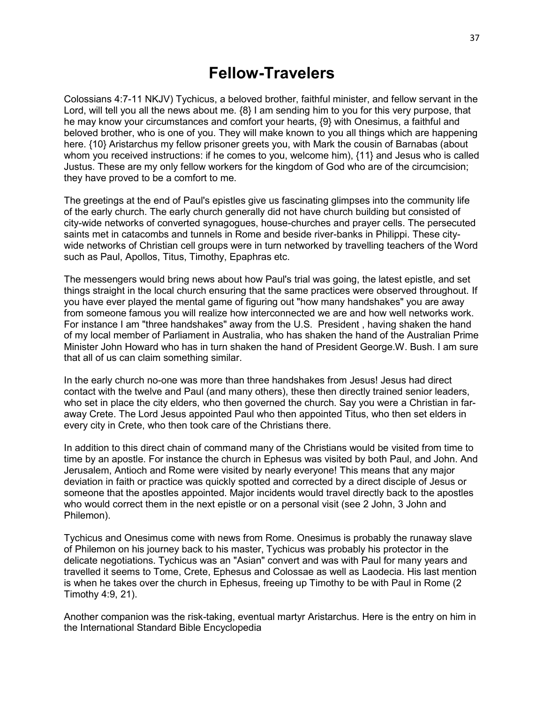#### **Fellow-Travelers**

Colossians 4:7-11 NKJV) Tychicus, a beloved brother, faithful minister, and fellow servant in the Lord, will tell you all the news about me.  $\{8\}$  I am sending him to you for this very purpose, that he may know your circumstances and comfort your hearts, {9} with Onesimus, a faithful and beloved brother, who is one of you. They will make known to you all things which are happening here. {10} Aristarchus my fellow prisoner greets you, with Mark the cousin of Barnabas (about whom you received instructions: if he comes to you, welcome him), {11} and Jesus who is called Justus. These are my only fellow workers for the kingdom of God who are of the circumcision; they have proved to be a comfort to me.

The greetings at the end of Paul's epistles give us fascinating glimpses into the community life of the early church. The early church generally did not have church building but consisted of city-wide networks of converted synagogues, house-churches and prayer cells. The persecuted saints met in catacombs and tunnels in Rome and beside river-banks in Philippi. These citywide networks of Christian cell groups were in turn networked by travelling teachers of the Word such as Paul, Apollos, Titus, Timothy, Epaphras etc.

The messengers would bring news about how Paul's trial was going, the latest epistle, and set things straight in the local church ensuring that the same practices were observed throughout. If you have ever played the mental game of figuring out "how many handshakes" you are away from someone famous you will realize how interconnected we are and how well networks work. For instance I am "three handshakes" away from the U.S. President , having shaken the hand of my local member of Parliament in Australia, who has shaken the hand of the Australian Prime Minister John Howard who has in turn shaken the hand of President George.W. Bush. I am sure that all of us can claim something similar.

In the early church no-one was more than three handshakes from Jesus! Jesus had direct contact with the twelve and Paul (and many others), these then directly trained senior leaders, who set in place the city elders, who then governed the church. Say you were a Christian in faraway Crete. The Lord Jesus appointed Paul who then appointed Titus, who then set elders in every city in Crete, who then took care of the Christians there.

In addition to this direct chain of command many of the Christians would be visited from time to time by an apostle. For instance the church in Ephesus was visited by both Paul, and John. And Jerusalem, Antioch and Rome were visited by nearly everyone! This means that any major deviation in faith or practice was quickly spotted and corrected by a direct disciple of Jesus or someone that the apostles appointed. Major incidents would travel directly back to the apostles who would correct them in the next epistle or on a personal visit (see 2 John, 3 John and Philemon).

Tychicus and Onesimus come with news from Rome. Onesimus is probably the runaway slave of Philemon on his journey back to his master, Tychicus was probably his protector in the delicate negotiations. Tychicus was an "Asian" convert and was with Paul for many years and travelled it seems to Tome, Crete, Ephesus and Colossae as well as Laodecia. His last mention is when he takes over the church in Ephesus, freeing up Timothy to be with Paul in Rome (2 Timothy 4:9, 21).

Another companion was the risk-taking, eventual martyr Aristarchus. Here is the entry on him in the International Standard Bible Encyclopedia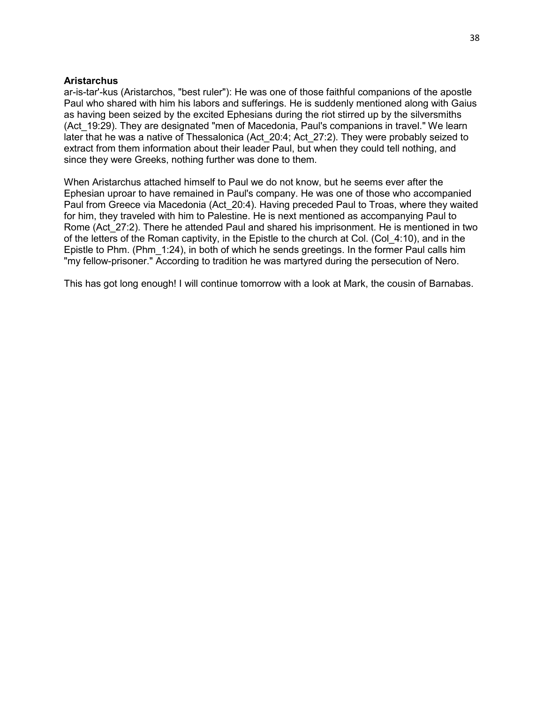#### **Aristarchus**

ar-is-tar'-kus (Aristarchos, "best ruler"): He was one of those faithful companions of the apostle Paul who shared with him his labors and sufferings. He is suddenly mentioned along with Gaius as having been seized by the excited Ephesians during the riot stirred up by the silversmiths (Act 19:29). They are designated "men of Macedonia, Paul's companions in travel." We learn later that he was a native of Thessalonica (Act\_20:4; Act\_27:2). They were probably seized to extract from them information about their leader Paul, but when they could tell nothing, and since they were Greeks, nothing further was done to them.

When Aristarchus attached himself to Paul we do not know, but he seems ever after the Ephesian uproar to have remained in Paul's company. He was one of those who accompanied Paul from Greece via Macedonia (Act\_20:4). Having preceded Paul to Troas, where they waited for him, they traveled with him to Palestine. He is next mentioned as accompanying Paul to Rome (Act<sup>27:2</sup>). There he attended Paul and shared his imprisonment. He is mentioned in two of the letters of the Roman captivity, in the Epistle to the church at Col. (Col\_4:10), and in the Epistle to Phm. (Phm\_1:24), in both of which he sends greetings. In the former Paul calls him "my fellow-prisoner." According to tradition he was martyred during the persecution of Nero.

This has got long enough! I will continue tomorrow with a look at Mark, the cousin of Barnabas.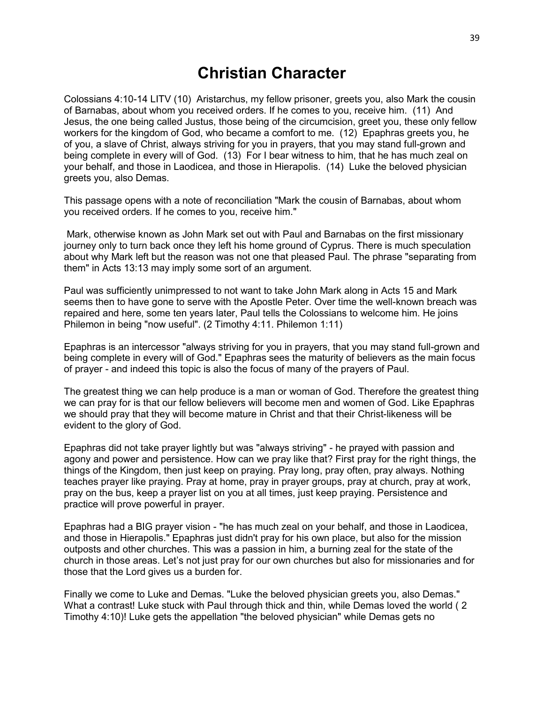# **Christian Character**

Colossians 4:10-14 LITV (10) Aristarchus, my fellow prisoner, greets you, also Mark the cousin of Barnabas, about whom you received orders. If he comes to you, receive him. (11) And Jesus, the one being called Justus, those being of the circumcision, greet you, these only fellow workers for the kingdom of God, who became a comfort to me. (12) Epaphras greets you, he of you, a slave of Christ, always striving for you in prayers, that you may stand full-grown and being complete in every will of God. (13) For I bear witness to him, that he has much zeal on your behalf, and those in Laodicea, and those in Hierapolis. (14) Luke the beloved physician greets you, also Demas.

This passage opens with a note of reconciliation "Mark the cousin of Barnabas, about whom you received orders. If he comes to you, receive him."

Mark, otherwise known as John Mark set out with Paul and Barnabas on the first missionary journey only to turn back once they left his home ground of Cyprus. There is much speculation about why Mark left but the reason was not one that pleased Paul. The phrase "separating from them" in Acts 13:13 may imply some sort of an argument.

Paul was sufficiently unimpressed to not want to take John Mark along in Acts 15 and Mark seems then to have gone to serve with the Apostle Peter. Over time the well-known breach was repaired and here, some ten years later, Paul tells the Colossians to welcome him. He joins Philemon in being "now useful". (2 Timothy 4:11. Philemon 1:11)

Epaphras is an intercessor "always striving for you in prayers, that you may stand full-grown and being complete in every will of God." Epaphras sees the maturity of believers as the main focus of prayer - and indeed this topic is also the focus of many of the prayers of Paul.

The greatest thing we can help produce is a man or woman of God. Therefore the greatest thing we can pray for is that our fellow believers will become men and women of God. Like Epaphras we should pray that they will become mature in Christ and that their Christ-likeness will be evident to the glory of God.

Epaphras did not take prayer lightly but was "always striving" - he prayed with passion and agony and power and persistence. How can we pray like that? First pray for the right things, the things of the Kingdom, then just keep on praying. Pray long, pray often, pray always. Nothing teaches prayer like praying. Pray at home, pray in prayer groups, pray at church, pray at work, pray on the bus, keep a prayer list on you at all times, just keep praying. Persistence and practice will prove powerful in prayer.

Epaphras had a BIG prayer vision - "he has much zeal on your behalf, and those in Laodicea, and those in Hierapolis." Epaphras just didn't pray for his own place, but also for the mission outposts and other churches. This was a passion in him, a burning zeal for the state of the church in those areas. Let's not just pray for our own churches but also for missionaries and for those that the Lord gives us a burden for.

Finally we come to Luke and Demas. "Luke the beloved physician greets you, also Demas." What a contrast! Luke stuck with Paul through thick and thin, while Demas loved the world ( 2 Timothy 4:10)! Luke gets the appellation "the beloved physician" while Demas gets no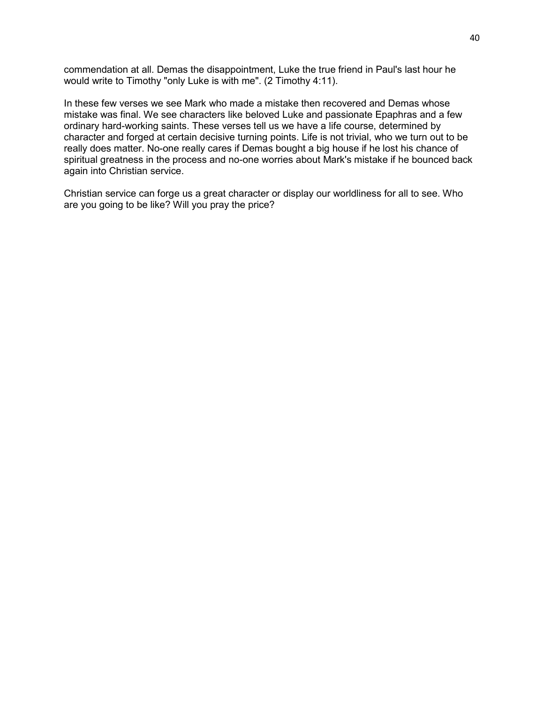commendation at all. Demas the disappointment, Luke the true friend in Paul's last hour he would write to Timothy "only Luke is with me". (2 Timothy 4:11).

In these few verses we see Mark who made a mistake then recovered and Demas whose mistake was final. We see characters like beloved Luke and passionate Epaphras and a few ordinary hard-working saints. These verses tell us we have a life course, determined by character and forged at certain decisive turning points. Life is not trivial, who we turn out to be really does matter. No-one really cares if Demas bought a big house if he lost his chance of spiritual greatness in the process and no-one worries about Mark's mistake if he bounced back again into Christian service.

Christian service can forge us a great character or display our worldliness for all to see. Who are you going to be like? Will you pray the price?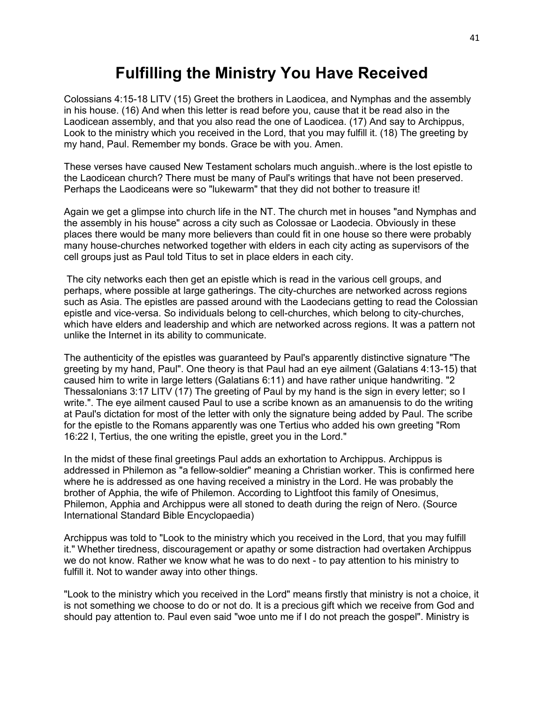# **Fulfilling the Ministry You Have Received**

Colossians 4:15-18 LITV (15) Greet the brothers in Laodicea, and Nymphas and the assembly in his house. (16) And when this letter is read before you, cause that it be read also in the Laodicean assembly, and that you also read the one of Laodicea. (17) And say to Archippus, Look to the ministry which you received in the Lord, that you may fulfill it. (18) The greeting by my hand, Paul. Remember my bonds. Grace be with you. Amen.

These verses have caused New Testament scholars much anguish..where is the lost epistle to the Laodicean church? There must be many of Paul's writings that have not been preserved. Perhaps the Laodiceans were so "lukewarm" that they did not bother to treasure it!

Again we get a glimpse into church life in the NT. The church met in houses "and Nymphas and the assembly in his house" across a city such as Colossae or Laodecia. Obviously in these places there would be many more believers than could fit in one house so there were probably many house-churches networked together with elders in each city acting as supervisors of the cell groups just as Paul told Titus to set in place elders in each city.

The city networks each then get an epistle which is read in the various cell groups, and perhaps, where possible at large gatherings. The city-churches are networked across regions such as Asia. The epistles are passed around with the Laodecians getting to read the Colossian epistle and vice-versa. So individuals belong to cell-churches, which belong to city-churches, which have elders and leadership and which are networked across regions. It was a pattern not unlike the Internet in its ability to communicate.

The authenticity of the epistles was guaranteed by Paul's apparently distinctive signature "The greeting by my hand, Paul". One theory is that Paul had an eye ailment (Galatians 4:13-15) that caused him to write in large letters (Galatians 6:11) and have rather unique handwriting. "2 Thessalonians 3:17 LITV (17) The greeting of Paul by my hand is the sign in every letter; so I write.". The eye ailment caused Paul to use a scribe known as an amanuensis to do the writing at Paul's dictation for most of the letter with only the signature being added by Paul. The scribe for the epistle to the Romans apparently was one Tertius who added his own greeting "Rom 16:22 I, Tertius, the one writing the epistle, greet you in the Lord."

In the midst of these final greetings Paul adds an exhortation to Archippus. Archippus is addressed in Philemon as "a fellow-soldier" meaning a Christian worker. This is confirmed here where he is addressed as one having received a ministry in the Lord. He was probably the brother of Apphia, the wife of Philemon. According to Lightfoot this family of Onesimus, Philemon, Apphia and Archippus were all stoned to death during the reign of Nero. (Source International Standard Bible Encyclopaedia)

Archippus was told to "Look to the ministry which you received in the Lord, that you may fulfill it." Whether tiredness, discouragement or apathy or some distraction had overtaken Archippus we do not know. Rather we know what he was to do next - to pay attention to his ministry to fulfill it. Not to wander away into other things.

"Look to the ministry which you received in the Lord" means firstly that ministry is not a choice, it is not something we choose to do or not do. It is a precious gift which we receive from God and should pay attention to. Paul even said "woe unto me if I do not preach the gospel". Ministry is